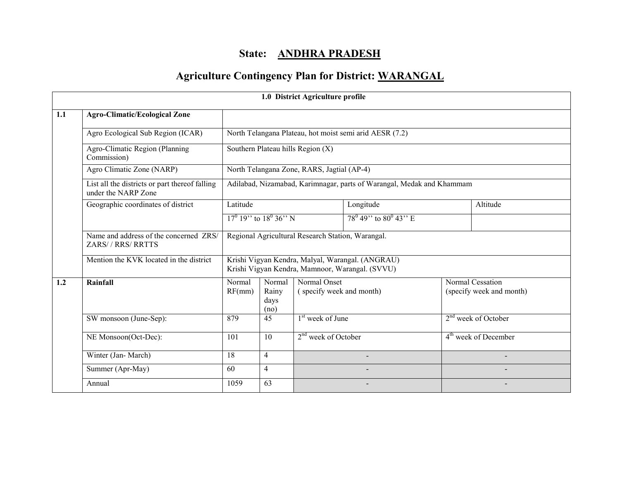## State: ANDHRA PRADESH

# Agriculture Contingency Plan for District: WARANGAL

|     |                                                                       |                                                                                                     |                                                                       | 1.0 District Agriculture profile           |                                                         |  |                                              |  |
|-----|-----------------------------------------------------------------------|-----------------------------------------------------------------------------------------------------|-----------------------------------------------------------------------|--------------------------------------------|---------------------------------------------------------|--|----------------------------------------------|--|
| 1.1 | <b>Agro-Climatic/Ecological Zone</b>                                  |                                                                                                     |                                                                       |                                            |                                                         |  |                                              |  |
|     | Agro Ecological Sub Region (ICAR)                                     |                                                                                                     |                                                                       |                                            | North Telangana Plateau, hot moist semi arid AESR (7.2) |  |                                              |  |
|     | Agro-Climatic Region (Planning<br>Commission)                         |                                                                                                     |                                                                       | Southern Plateau hills Region (X)          |                                                         |  |                                              |  |
|     | Agro Climatic Zone (NARP)                                             |                                                                                                     |                                                                       | North Telangana Zone, RARS, Jagtial (AP-4) |                                                         |  |                                              |  |
|     | List all the districts or part thereof falling<br>under the NARP Zone |                                                                                                     | Adilabad, Nizamabad, Karimnagar, parts of Warangal, Medak and Khammam |                                            |                                                         |  |                                              |  |
|     | Geographic coordinates of district                                    | Latitude                                                                                            |                                                                       |                                            | Longitude                                               |  | Altitude                                     |  |
|     |                                                                       |                                                                                                     | $17^{0}$ 19" to $18^{0}$ 36" N                                        |                                            | $78^{\circ}$ 49" to $80^{\circ}$ 43" E                  |  |                                              |  |
|     | Name and address of the concerned ZRS/<br>ZARS//RRS/RRTTS             | Regional Agricultural Research Station, Warangal.                                                   |                                                                       |                                            |                                                         |  |                                              |  |
|     | Mention the KVK located in the district                               | Krishi Vigyan Kendra, Malyal, Warangal. (ANGRAU)<br>Krishi Vigyan Kendra, Mamnoor, Warangal. (SVVU) |                                                                       |                                            |                                                         |  |                                              |  |
| 1.2 | Rainfall                                                              | Normal<br>RF(mm)                                                                                    | Normal<br>Rainy<br>days<br>(no)                                       | Normal Onset<br>(specify week and month)   |                                                         |  | Normal Cessation<br>(specify week and month) |  |
|     | SW monsoon (June-Sep):                                                | 879                                                                                                 | 45                                                                    | 1 <sup>st</sup> week of June               |                                                         |  | $2nd$ week of October                        |  |
|     | NE Monsoon(Oct-Dec):                                                  | 101                                                                                                 | 10                                                                    | $2nd$ week of October                      |                                                         |  | 4 <sup>th</sup> week of December             |  |
|     | Winter (Jan-March)                                                    | $\overline{18}$                                                                                     | $\overline{4}$                                                        |                                            |                                                         |  |                                              |  |
|     | Summer (Apr-May)                                                      | 60                                                                                                  | $\overline{4}$                                                        |                                            |                                                         |  |                                              |  |
|     | Annual                                                                | 1059                                                                                                | 63                                                                    |                                            |                                                         |  |                                              |  |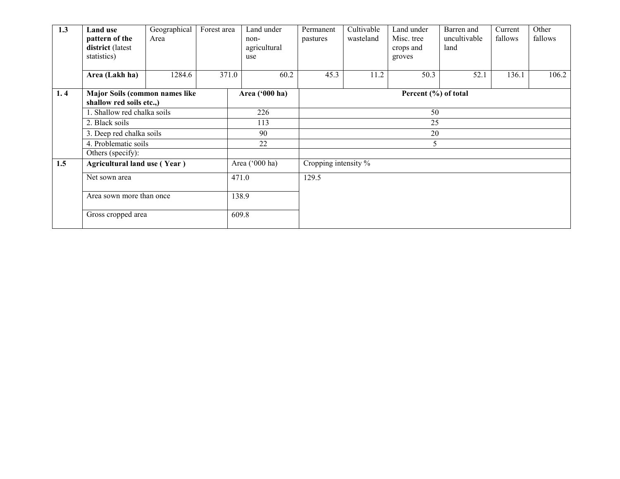| 1.3 | <b>Land use</b><br>pattern of the<br>district (latest<br>statistics) | Geographical<br>Area | Forest area |       | Land under<br>$non-$<br>agricultural<br>use | Permanent<br>pastures | Cultivable<br>wasteland | Land under<br>Misc. tree<br>crops and<br>groves | Barren and<br>uncultivable<br>land | Current<br>fallows | Other<br>fallows |
|-----|----------------------------------------------------------------------|----------------------|-------------|-------|---------------------------------------------|-----------------------|-------------------------|-------------------------------------------------|------------------------------------|--------------------|------------------|
|     | Area (Lakh ha)                                                       | 1284.6               |             | 371.0 | 60.2                                        | 45.3                  | 11.2                    | 50.3                                            | 52.1                               | 136.1              | 106.2            |
| 1.4 | Major Soils (common names like<br>shallow red soils etc.,)           |                      |             |       | Area ('000 ha)                              | Percent (%) of total  |                         |                                                 |                                    |                    |                  |
|     | 1. Shallow red chalka soils                                          |                      |             |       | 226                                         |                       |                         | 50                                              |                                    |                    |                  |
|     | 2. Black soils                                                       |                      |             | 113   |                                             |                       | 25                      |                                                 |                                    |                    |                  |
|     | 3. Deep red chalka soils                                             |                      |             |       | 90                                          |                       |                         | 20                                              |                                    |                    |                  |
|     | 4. Problematic soils                                                 |                      |             |       | 22                                          |                       |                         | 5                                               |                                    |                    |                  |
|     | Others (specify):                                                    |                      |             |       |                                             |                       |                         |                                                 |                                    |                    |                  |
| 1.5 | Agricultural land use (Year)                                         |                      |             |       | Area ('000 ha)                              | Cropping intensity %  |                         |                                                 |                                    |                    |                  |
|     | Net sown area                                                        |                      |             | 471.0 |                                             | 129.5                 |                         |                                                 |                                    |                    |                  |
|     | Area sown more than once                                             |                      |             | 138.9 |                                             |                       |                         |                                                 |                                    |                    |                  |
|     | Gross cropped area                                                   |                      |             | 609.8 |                                             |                       |                         |                                                 |                                    |                    |                  |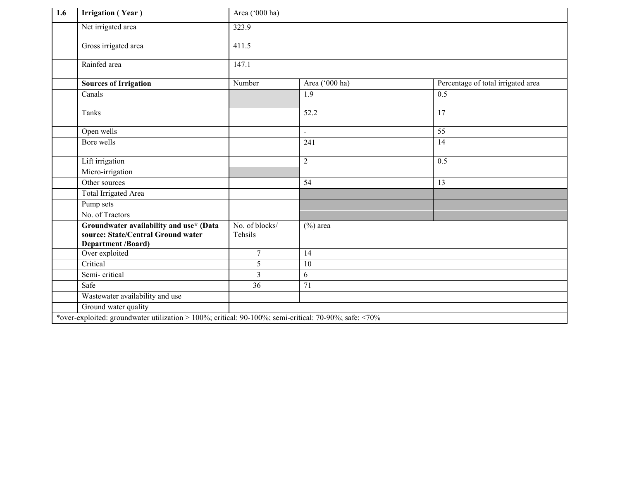| $\overline{1.6}$ | <b>Irrigation</b> (Year)                                                                                   | Area ('000 ha)            |                                           |                                    |
|------------------|------------------------------------------------------------------------------------------------------------|---------------------------|-------------------------------------------|------------------------------------|
|                  | Net irrigated area                                                                                         | 323.9                     |                                           |                                    |
|                  | Gross irrigated area                                                                                       | 411.5                     |                                           |                                    |
|                  | Rainfed area                                                                                               | $147.\overline{1}$        |                                           |                                    |
|                  | <b>Sources of Irrigation</b>                                                                               | Number                    | Area ('000 ha)                            | Percentage of total irrigated area |
|                  | Canals                                                                                                     |                           | 1.9                                       | 0.5                                |
|                  | <b>Tanks</b>                                                                                               |                           | 52.2                                      | 17                                 |
|                  | Open wells                                                                                                 |                           | $\blacksquare$                            | $\overline{55}$                    |
|                  | Bore wells                                                                                                 |                           | 241                                       | $\overline{14}$                    |
|                  | Lift irrigation                                                                                            |                           | $\overline{2}$                            | 0.5                                |
|                  | Micro-irrigation                                                                                           |                           |                                           |                                    |
|                  | Other sources                                                                                              |                           | 54                                        | 13                                 |
|                  | <b>Total Irrigated Area</b>                                                                                |                           |                                           |                                    |
|                  | Pump sets                                                                                                  |                           |                                           |                                    |
|                  | No. of Tractors                                                                                            |                           |                                           |                                    |
|                  | Groundwater availability and use* (Data<br>source: State/Central Ground water<br><b>Department /Board)</b> | No. of blocks/<br>Tehsils | $\overline{(^{\circ}\!}\mathcal{O})$ area |                                    |
|                  | Over exploited                                                                                             | $\overline{7}$            | 14                                        |                                    |
|                  | Critical                                                                                                   | 5                         | 10                                        |                                    |
|                  | Semi-critical                                                                                              | 3                         | 6                                         |                                    |
|                  | Safe                                                                                                       | 36                        | $\overline{71}$                           |                                    |
|                  | Wastewater availability and use                                                                            |                           |                                           |                                    |
|                  | Ground water quality                                                                                       |                           |                                           |                                    |
|                  | *over-exploited: groundwater utilization > 100%; critical: 90-100%; semi-critical: 70-90%; safe: <70%      |                           |                                           |                                    |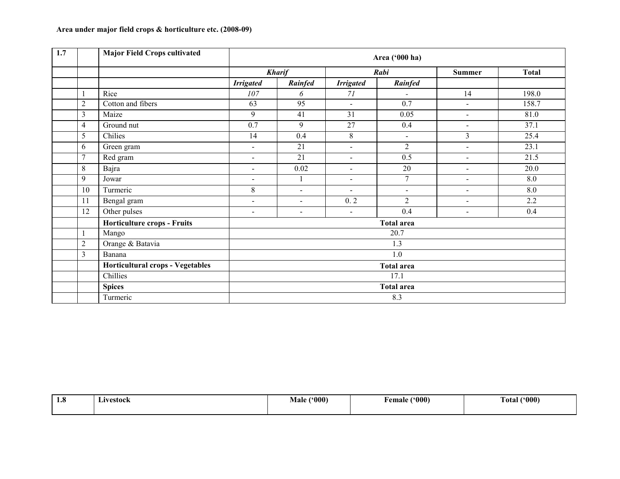| 1.7 |                | <b>Major Field Crops cultivated</b> |                          |                          |                          | Area ('000 ha)    |                          |              |  |  |  |
|-----|----------------|-------------------------------------|--------------------------|--------------------------|--------------------------|-------------------|--------------------------|--------------|--|--|--|
|     |                |                                     |                          | <b>Kharif</b>            |                          | Rabi              | Summer                   | <b>Total</b> |  |  |  |
|     |                |                                     | <b>Irrigated</b>         | Rainfed                  | <b>Irrigated</b>         | Rainfed           |                          |              |  |  |  |
|     |                | Rice                                | 107                      | 6                        | 71                       |                   | 14                       | 198.0        |  |  |  |
|     | $\overline{2}$ | Cotton and fibers                   | 63                       | 95                       | $\overline{a}$           | 0.7               | $\sim$                   | 158.7        |  |  |  |
|     | $\overline{3}$ | Maize                               | 9                        | 41                       | 31                       | 0.05              | $\overline{\phantom{a}}$ | 81.0         |  |  |  |
|     | $\overline{4}$ | Ground nut                          | 0.7                      | 9                        | 27                       | 0.4               | $\sim$                   | 37.1         |  |  |  |
|     | 5              | Chilies                             | 14                       | 0.4                      | 8                        | $\blacksquare$    | 3                        | 25.4         |  |  |  |
|     | 6              | Green gram                          | $\blacksquare$           | 21                       | $\blacksquare$           | 2                 | $\blacksquare$           | 23.1         |  |  |  |
|     | 7              | Red gram                            | $\sim$                   | 21                       | $\blacksquare$           | 0.5               | $\sim$                   | 21.5         |  |  |  |
|     | 8              | Bajra                               | $\sim$                   | 0.02                     | $\overline{\phantom{a}}$ | 20                | $\overline{a}$           | 20.0         |  |  |  |
|     | 9              | Jowar                               |                          | $\mathbf{1}$             | $\blacksquare$           | 7                 | $\overline{\phantom{0}}$ | 8.0          |  |  |  |
|     | 10             | Turmeric                            | 8                        | $\overline{\phantom{a}}$ | $\blacksquare$           | $\sim$            | $\blacksquare$           | 8.0          |  |  |  |
|     | 11             | Bengal gram                         | $\blacksquare$           | $\blacksquare$           | 0.2                      | $\overline{2}$    | $\blacksquare$           | 2.2          |  |  |  |
|     | 12             | Other pulses                        | $\overline{\phantom{a}}$ | $\overline{\phantom{a}}$ | $\overline{\phantom{a}}$ | 0.4               | $\blacksquare$           | 0.4          |  |  |  |
|     |                | Horticulture crops - Fruits         |                          |                          |                          | <b>Total area</b> |                          |              |  |  |  |
|     | 1              | Mango                               |                          |                          |                          | 20.7              |                          |              |  |  |  |
|     | $\overline{2}$ | Orange & Batavia                    |                          |                          |                          | 1.3               |                          |              |  |  |  |
|     | $\overline{3}$ | Banana                              | 1.0                      |                          |                          |                   |                          |              |  |  |  |
|     |                | Horticultural crops - Vegetables    | <b>Total area</b>        |                          |                          |                   |                          |              |  |  |  |
|     |                | Chillies                            | 17.1                     |                          |                          |                   |                          |              |  |  |  |
|     |                | <b>Spices</b>                       |                          |                          |                          | <b>Total area</b> |                          |              |  |  |  |
|     |                | Turmeric                            |                          |                          |                          | 8.3               |                          |              |  |  |  |

| -4<br>1.0 | ∟ivestock<br>$\cdots$ $\cdots$ | $^{\prime\prime}000^\prime$<br>--<br>Male | (500)<br>†emale | (600)<br>Fotal |
|-----------|--------------------------------|-------------------------------------------|-----------------|----------------|
|           |                                |                                           |                 |                |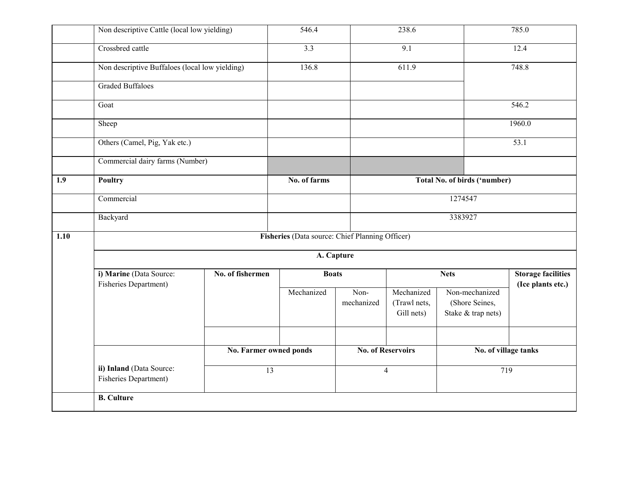|      | Non descriptive Cattle (local low yielding)       |                        | 546.4                                           |                    | 238.6                                    |                                                        | 785.0                                          |  |  |
|------|---------------------------------------------------|------------------------|-------------------------------------------------|--------------------|------------------------------------------|--------------------------------------------------------|------------------------------------------------|--|--|
|      | Crossbred cattle                                  |                        | $\overline{3.3}$                                |                    | $\overline{9.1}$                         |                                                        | 12.4                                           |  |  |
|      | Non descriptive Buffaloes (local low yielding)    |                        | 136.8                                           |                    | 611.9                                    |                                                        | 748.8                                          |  |  |
|      | <b>Graded Buffaloes</b>                           |                        |                                                 |                    |                                          |                                                        |                                                |  |  |
|      | Goat                                              |                        |                                                 |                    |                                          |                                                        | 546.2                                          |  |  |
|      | Sheep                                             |                        |                                                 |                    |                                          |                                                        | 1960.0                                         |  |  |
|      | Others (Camel, Pig, Yak etc.)                     |                        |                                                 |                    |                                          |                                                        | 53.1                                           |  |  |
|      | Commercial dairy farms (Number)                   |                        |                                                 |                    |                                          |                                                        |                                                |  |  |
| 1.9  | Poultry                                           |                        | No. of farms                                    |                    |                                          | Total No. of birds ('number)                           |                                                |  |  |
|      | Commercial                                        |                        |                                                 |                    |                                          | 1274547                                                |                                                |  |  |
|      | Backyard                                          |                        |                                                 |                    |                                          | 3383927                                                |                                                |  |  |
| 1.10 |                                                   |                        | Fisheries (Data source: Chief Planning Officer) |                    |                                          |                                                        |                                                |  |  |
|      |                                                   |                        | A. Capture                                      |                    |                                          |                                                        |                                                |  |  |
|      | i) Marine (Data Source:<br>Fisheries Department)  | No. of fishermen       | <b>Boats</b>                                    |                    |                                          | <b>Nets</b>                                            | <b>Storage facilities</b><br>(Ice plants etc.) |  |  |
|      |                                                   |                        | Mechanized                                      | Non-<br>mechanized | Mechanized<br>(Trawl nets,<br>Gill nets) | Non-mechanized<br>(Shore Seines,<br>Stake & trap nets) |                                                |  |  |
|      |                                                   | No. Farmer owned ponds |                                                 |                    | <b>No. of Reservoirs</b>                 | No. of village tanks                                   |                                                |  |  |
|      |                                                   | $\overline{13}$        |                                                 |                    |                                          |                                                        |                                                |  |  |
|      | ii) Inland (Data Source:<br>Fisheries Department) |                        |                                                 |                    | $\overline{4}$                           | 719                                                    |                                                |  |  |
|      | <b>B.</b> Culture                                 |                        |                                                 |                    |                                          |                                                        |                                                |  |  |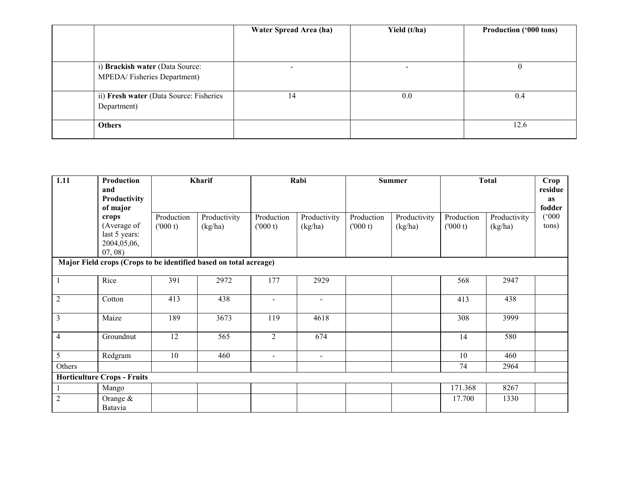|                                         | Water Spread Area (ha) | Yield (t/ha) | <b>Production ('000 tons)</b> |
|-----------------------------------------|------------------------|--------------|-------------------------------|
|                                         |                        |              |                               |
|                                         |                        |              |                               |
| i) Brackish water (Data Source:         |                        |              | v                             |
| MPEDA/Fisheries Department)             |                        |              |                               |
|                                         |                        |              |                               |
| ii) Fresh water (Data Source: Fisheries | 14                     | 0.0          | 0.4                           |
| Department)                             |                        |              |                               |
|                                         |                        |              |                               |
| <b>Others</b>                           |                        |              | 12.6                          |
|                                         |                        |              |                               |

| 1.11                    | Production<br>and<br>Productivity<br>of major                     |                       | Kharif                  |                       | Rabi                    |                       | <b>Summer</b>           |                       | <b>Total</b>            |                |
|-------------------------|-------------------------------------------------------------------|-----------------------|-------------------------|-----------------------|-------------------------|-----------------------|-------------------------|-----------------------|-------------------------|----------------|
|                         | crops<br>(Average of<br>last 5 years:<br>2004,05,06,<br>07,08)    | Production<br>(000 t) | Productivity<br>(kg/ha) | Production<br>(000 t) | Productivity<br>(kg/ha) | Production<br>(000 t) | Productivity<br>(kg/ha) | Production<br>(000 t) | Productivity<br>(kg/ha) | (000)<br>tons) |
|                         | Major Field crops (Crops to be identified based on total acreage) |                       |                         |                       |                         |                       |                         |                       |                         |                |
| $\mathbf{1}$            | Rice                                                              | 391                   | 2972                    | 177                   | 2929                    |                       |                         | 568                   | 2947                    |                |
| $\overline{2}$          | Cotton                                                            | 413                   | 438                     | $\overline{a}$        | $\overline{a}$          |                       |                         | 413                   | 438                     |                |
| $\overline{\mathbf{3}}$ | Maize                                                             | 189                   | 3673                    | 119                   | 4618                    |                       |                         | 308                   | 3999                    |                |
| $\overline{4}$          | Groundnut                                                         | 12                    | 565                     | $\overline{2}$        | 674                     |                       |                         | 14                    | 580                     |                |
| $\overline{5}$          | Redgram                                                           | 10                    | 460                     | $\blacksquare$        | $\blacksquare$          |                       |                         | 10                    | 460                     |                |
| Others                  |                                                                   |                       |                         |                       |                         |                       |                         | 74                    | 2964                    |                |
|                         | <b>Horticulture Crops - Fruits</b>                                |                       |                         |                       |                         |                       |                         |                       |                         |                |
|                         | Mango                                                             |                       |                         |                       |                         |                       |                         | 171.368               | 8267                    |                |
| $\overline{2}$          | Orange $&$<br>Batavia                                             |                       |                         |                       |                         |                       |                         | 17.700                | 1330                    |                |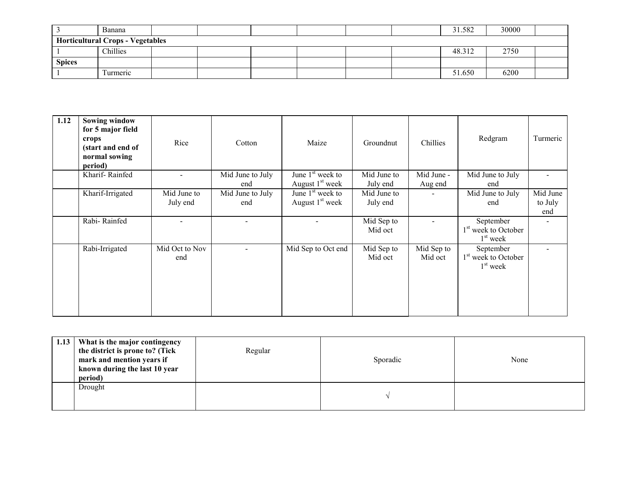|                                         | Banana    |  |  |  |  |  |  | 31.582 | 30000 |  |
|-----------------------------------------|-----------|--|--|--|--|--|--|--------|-------|--|
| <b>Horticultural Crops - Vegetables</b> |           |  |  |  |  |  |  |        |       |  |
|                                         | Chillies  |  |  |  |  |  |  | 48.312 | 2750  |  |
| <b>Spices</b>                           |           |  |  |  |  |  |  |        |       |  |
|                                         | l'urmeric |  |  |  |  |  |  | 51.650 | 6200  |  |

| 1.12 | <b>Sowing window</b><br>for 5 major field<br>crops<br>(start and end of<br>normal sowing<br>period) | Rice                     | Cotton           | Maize              | Groundnut             | Chillies              | Redgram                                                    | Turmeric |
|------|-----------------------------------------------------------------------------------------------------|--------------------------|------------------|--------------------|-----------------------|-----------------------|------------------------------------------------------------|----------|
|      | Kharif-Rainfed                                                                                      | $\overline{\phantom{0}}$ | Mid June to July | June $1st$ week to | Mid June to           | Mid June -            | Mid June to July                                           |          |
|      |                                                                                                     |                          | end              | August $1st$ week  | July end              | Aug end               | end                                                        |          |
|      | Kharif-Irrigated                                                                                    | Mid June to              | Mid June to July | June $1st$ week to | Mid June to           |                       | Mid June to July                                           | Mid June |
|      |                                                                                                     | July end                 | end              | August $1st$ week  | July end              |                       | end                                                        | to July  |
|      |                                                                                                     |                          |                  |                    |                       |                       |                                                            | end      |
|      | Rabi-Rainfed                                                                                        |                          |                  |                    | Mid Sep to<br>Mid oct |                       | September<br>1 <sup>st</sup> week to October<br>$1st$ week |          |
|      | Rabi-Irrigated                                                                                      | Mid Oct to Nov<br>end    |                  | Mid Sep to Oct end | Mid Sep to<br>Mid oct | Mid Sep to<br>Mid oct | September<br>1 <sup>st</sup> week to October<br>$1st$ week |          |

| 1.13 | What is the major contingency<br>the district is prone to? (Tick<br>mark and mention years if<br>known during the last 10 year<br>period) | Regular | Sporadic | None |
|------|-------------------------------------------------------------------------------------------------------------------------------------------|---------|----------|------|
|      | Drought                                                                                                                                   |         |          |      |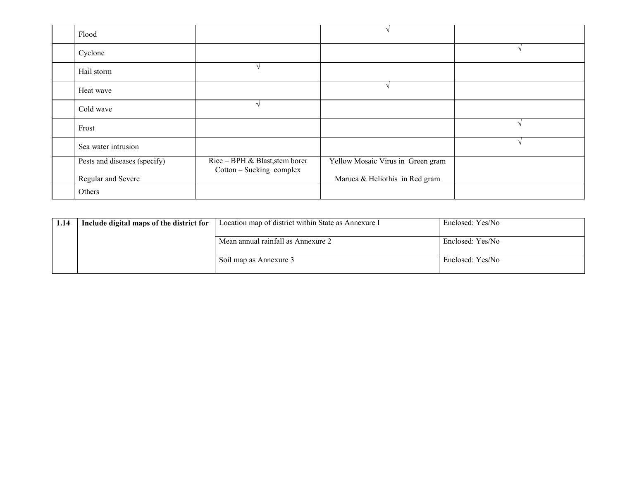| Flood                        |                                                            |                                   |  |
|------------------------------|------------------------------------------------------------|-----------------------------------|--|
| Cyclone                      |                                                            |                                   |  |
| Hail storm                   |                                                            |                                   |  |
| Heat wave                    |                                                            |                                   |  |
| Cold wave                    |                                                            |                                   |  |
| Frost                        |                                                            |                                   |  |
| Sea water intrusion          |                                                            |                                   |  |
| Pests and diseases (specify) | Rice – BPH & Blast, stem borer<br>Cotton – Sucking complex | Yellow Mosaic Virus in Green gram |  |
| Regular and Severe           |                                                            | Maruca & Heliothis in Red gram    |  |
| Others                       |                                                            |                                   |  |

| 1.14 | Include digital maps of the district for | Location map of district within State as Annexure I | Enclosed: Yes/No |
|------|------------------------------------------|-----------------------------------------------------|------------------|
|      |                                          | Mean annual rainfall as Annexure 2                  | Enclosed: Yes/No |
|      |                                          | Soil map as Annexure 3                              | Enclosed: Yes/No |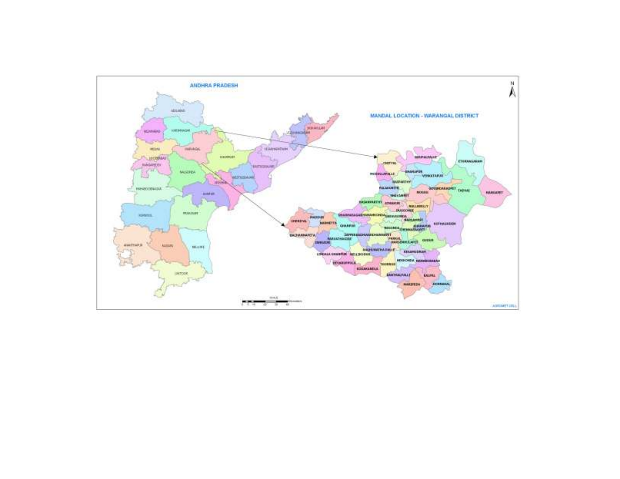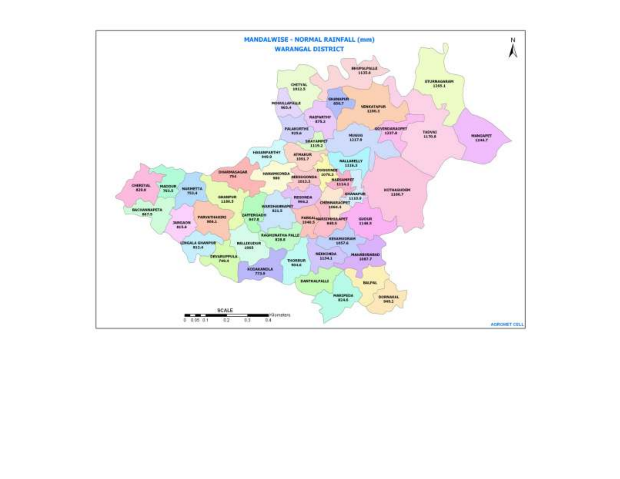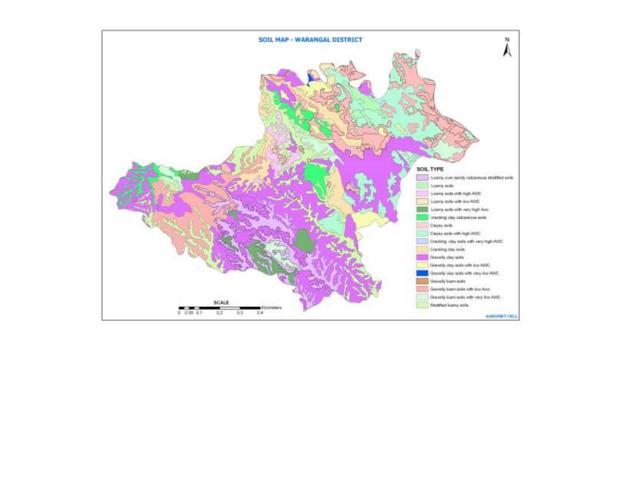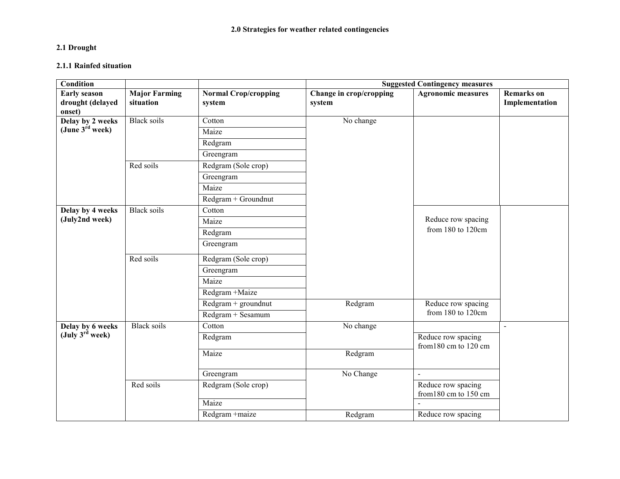#### 2.1 Drought

#### 2.1.1 Rainfed situation

| <b>Condition</b>                                  |                                   |                                       | <b>Suggested Contingency measures</b> |                                             |                                     |  |  |
|---------------------------------------------------|-----------------------------------|---------------------------------------|---------------------------------------|---------------------------------------------|-------------------------------------|--|--|
| <b>Early season</b><br>drought (delayed<br>onset) | <b>Major Farming</b><br>situation | <b>Normal Crop/cropping</b><br>system | Change in crop/cropping<br>system     | <b>Agronomic measures</b>                   | <b>Remarks</b> on<br>Implementation |  |  |
| Delay by 2 weeks                                  | <b>Black soils</b>                | Cotton                                | No change                             |                                             |                                     |  |  |
| (June 3 <sup>rd</sup> week)                       |                                   | Maize                                 |                                       |                                             |                                     |  |  |
|                                                   |                                   | Redgram                               |                                       |                                             |                                     |  |  |
|                                                   |                                   | Greengram                             |                                       |                                             |                                     |  |  |
|                                                   | Red soils                         | Redgram (Sole crop)                   |                                       |                                             |                                     |  |  |
|                                                   |                                   | Greengram                             |                                       |                                             |                                     |  |  |
|                                                   |                                   | Maize                                 |                                       |                                             |                                     |  |  |
|                                                   |                                   | $Redgram + Groundnut$                 |                                       |                                             |                                     |  |  |
| Delay by 4 weeks                                  | <b>Black soils</b>                | Cotton                                |                                       |                                             |                                     |  |  |
| (July2nd week)                                    |                                   | Maize                                 |                                       | Reduce row spacing                          |                                     |  |  |
|                                                   |                                   | Redgram                               |                                       | from 180 to 120cm                           |                                     |  |  |
|                                                   |                                   | Greengram                             |                                       |                                             |                                     |  |  |
|                                                   | Red soils                         | Redgram (Sole crop)                   |                                       |                                             |                                     |  |  |
|                                                   |                                   | Greengram                             |                                       |                                             |                                     |  |  |
|                                                   |                                   | Maize                                 |                                       |                                             |                                     |  |  |
|                                                   |                                   | Redgram +Maize                        |                                       |                                             |                                     |  |  |
|                                                   |                                   | $Redgram + groundnut$                 | Redgram                               | Reduce row spacing                          |                                     |  |  |
|                                                   |                                   | Redgram + Sesamum                     |                                       | from 180 to 120cm                           |                                     |  |  |
| Delay by 6 weeks                                  | <b>Black soils</b>                | Cotton                                | No change                             |                                             | $\blacksquare$                      |  |  |
| $(\text{July } 3^{\text{rd}} \text{ week})$       |                                   | Redgram                               |                                       | Reduce row spacing                          |                                     |  |  |
|                                                   |                                   | Maize                                 | Redgram                               | from 180 cm to 120 cm                       |                                     |  |  |
|                                                   |                                   |                                       |                                       |                                             |                                     |  |  |
|                                                   |                                   | Greengram                             | No Change                             | $\blacksquare$                              |                                     |  |  |
|                                                   | Red soils                         | Redgram (Sole crop)                   |                                       | Reduce row spacing<br>from 180 cm to 150 cm |                                     |  |  |
|                                                   |                                   | Maize                                 |                                       |                                             |                                     |  |  |
|                                                   |                                   | Redgram +maize                        | Redgram                               | Reduce row spacing                          |                                     |  |  |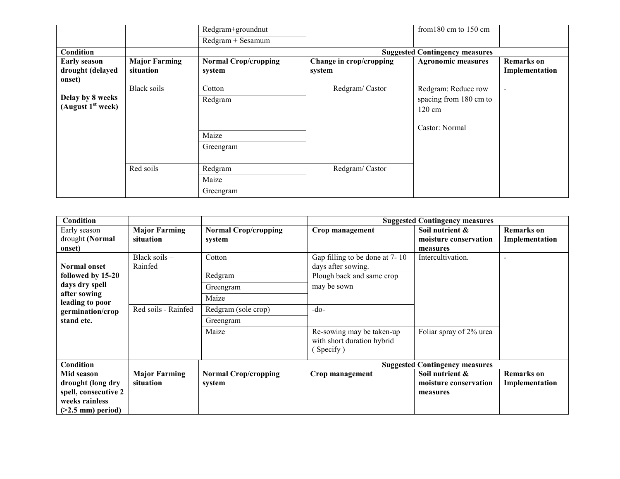|                                                   |                                   | Redgram+groundnut                       |                                   | from $180 \text{ cm}$ to $150 \text{ cm}$                                           |                                     |
|---------------------------------------------------|-----------------------------------|-----------------------------------------|-----------------------------------|-------------------------------------------------------------------------------------|-------------------------------------|
|                                                   |                                   | Redgram + Sesamum                       |                                   |                                                                                     |                                     |
| Condition                                         |                                   |                                         |                                   | <b>Suggested Contingency measures</b>                                               |                                     |
| <b>Early season</b><br>drought (delayed<br>onset) | <b>Major Farming</b><br>situation | <b>Normal Crop/cropping</b><br>system   | Change in crop/cropping<br>system | <b>Agronomic measures</b>                                                           | <b>Remarks</b> on<br>Implementation |
| Delay by 8 weeks<br>(August $1st$ week)           | <b>Black soils</b>                | Cotton<br>Redgram<br>Maize<br>Greengram | Redgram/Castor                    | Redgram: Reduce row<br>spacing from 180 cm to<br>$120 \text{ cm}$<br>Castor: Normal | $\overline{\phantom{a}}$            |
|                                                   | Red soils                         | Redgram<br>Maize<br>Greengram           | Redgram/Castor                    |                                                                                     |                                     |

| Condition                             |                                   |                                       |                                                                      | <b>Suggested Contingency measures</b>    |                                     |
|---------------------------------------|-----------------------------------|---------------------------------------|----------------------------------------------------------------------|------------------------------------------|-------------------------------------|
| Early season<br>drought (Normal       | <b>Major Farming</b><br>situation | <b>Normal Crop/cropping</b><br>system | Crop management                                                      | Soil nutrient &<br>moisture conservation | <b>Remarks</b> on<br>Implementation |
| onset)                                |                                   |                                       |                                                                      | measures                                 |                                     |
| Normal onset                          | Black soils $-$<br>Rainfed        | Cotton                                | Gap filling to be done at 7-10<br>days after sowing.                 | Intercultivation.                        | $\overline{\phantom{0}}$            |
| followed by 15-20                     |                                   | Redgram                               | Plough back and same crop                                            |                                          |                                     |
| days dry spell<br>after sowing        |                                   | Greengram                             | may be sown                                                          |                                          |                                     |
| leading to poor                       |                                   | Maize                                 |                                                                      |                                          |                                     |
| germination/crop                      | Red soils - Rainfed               | Redgram (sole crop)                   | $-do-$                                                               |                                          |                                     |
| stand etc.                            |                                   | Greengram                             |                                                                      |                                          |                                     |
|                                       |                                   | Maize                                 | Re-sowing may be taken-up<br>with short duration hybrid<br>(Specify) | Foliar spray of 2% urea                  |                                     |
| Condition                             |                                   |                                       | <b>Suggested Contingency measures</b>                                |                                          |                                     |
| Mid season                            | <b>Major Farming</b>              | <b>Normal Crop/cropping</b>           | Crop management                                                      | Soil nutrient &                          | <b>Remarks</b> on                   |
| drought (long dry                     | situation                         | system                                |                                                                      | moisture conservation                    | Implementation                      |
| spell, consecutive 2                  |                                   |                                       |                                                                      | measures                                 |                                     |
| weeks rainless<br>$(>2.5$ mm) period) |                                   |                                       |                                                                      |                                          |                                     |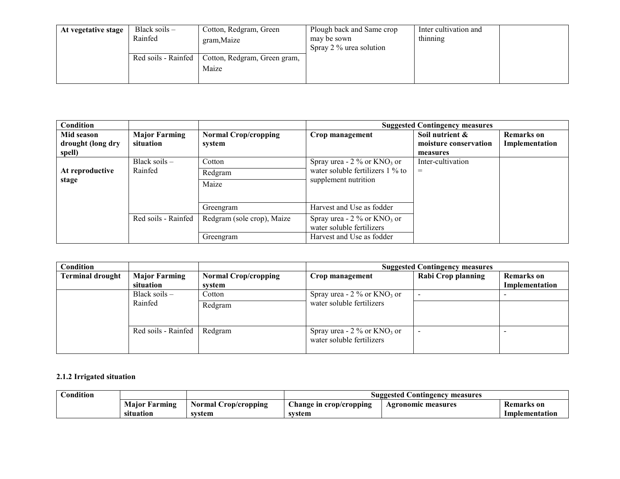| At vegetative stage | Black soils $-$<br>Rainfed | Cotton, Redgram, Green<br>gram, Maize | Plough back and Same crop<br>may be sown<br>Spray 2 % urea solution | Inter cultivation and<br>thinning |  |
|---------------------|----------------------------|---------------------------------------|---------------------------------------------------------------------|-----------------------------------|--|
|                     | Red soils - Rainfed        | Cotton, Redgram, Green gram,          |                                                                     |                                   |  |
|                     |                            | Maize                                 |                                                                     |                                   |  |

| <b>Condition</b>  |                      |                             | <b>Suggested Contingency measures</b>                                  |                       |                   |  |
|-------------------|----------------------|-----------------------------|------------------------------------------------------------------------|-----------------------|-------------------|--|
| Mid season        | <b>Major Farming</b> | <b>Normal Crop/cropping</b> | Crop management                                                        | Soil nutrient &       | <b>Remarks</b> on |  |
| drought (long dry | situation            | system                      |                                                                        | moisture conservation | Implementation    |  |
| spell)            |                      |                             |                                                                        | measures              |                   |  |
|                   | Black soils $-$      | Cotton                      | Spray urea - $2\%$ or KNO <sub>3</sub> or                              | Inter-cultivation     |                   |  |
| At reproductive   | Rainfed              | Redgram                     | water soluble fertilizers $1\%$ to<br>supplement nutrition             | $=$                   |                   |  |
| stage             |                      | Maize                       |                                                                        |                       |                   |  |
|                   |                      |                             |                                                                        |                       |                   |  |
|                   |                      | Greengram                   | Harvest and Use as fodder                                              |                       |                   |  |
|                   | Red soils - Rainfed  | Redgram (sole crop), Maize  | Spray urea - $2\%$ or KNO <sub>3</sub> or<br>water soluble fertilizers |                       |                   |  |
|                   |                      | Greengram                   | Harvest and Use as fodder                                              |                       |                   |  |

| Condition               |                      |                             |                                                                        | <b>Suggested Contingency measures</b> |                   |
|-------------------------|----------------------|-----------------------------|------------------------------------------------------------------------|---------------------------------------|-------------------|
| <b>Terminal drought</b> | <b>Major Farming</b> | <b>Normal Crop/cropping</b> | Crop management                                                        | <b>Rabi Crop planning</b>             | <b>Remarks</b> on |
|                         | situation            | system                      |                                                                        |                                       | Implementation    |
|                         | Black soils $-$      | Cotton                      | Spray urea - $2\%$ or KNO <sub>3</sub> or                              |                                       |                   |
| Rainfed                 | Redgram              | water soluble fertilizers   |                                                                        |                                       |                   |
|                         | Red soils - Rainfed  | Redgram                     | Spray urea - $2\%$ or KNO <sub>3</sub> or<br>water soluble fertilizers |                                       |                   |

#### 2.1.2 Irrigated situation

| Condition |                      |                             | <b>Suggested Contingency measures</b> |                    |                   |  |
|-----------|----------------------|-----------------------------|---------------------------------------|--------------------|-------------------|--|
|           | <b>Maior Farming</b> | <b>Normal Crop/cropping</b> | Change in crop/cropping               | Agronomic measures | <b>Remarks</b> on |  |
|           | situation            | system                      | svstem                                |                    | Implementation    |  |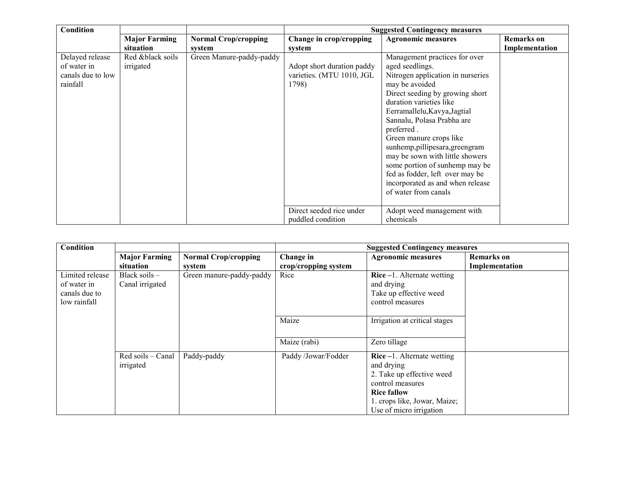| Condition                                                       |                                   |                                       | <b>Suggested Contingency measures</b>                            |                                                                                                                                                                                                                                                                                                                                                                                                                                                                                     |                                     |  |
|-----------------------------------------------------------------|-----------------------------------|---------------------------------------|------------------------------------------------------------------|-------------------------------------------------------------------------------------------------------------------------------------------------------------------------------------------------------------------------------------------------------------------------------------------------------------------------------------------------------------------------------------------------------------------------------------------------------------------------------------|-------------------------------------|--|
|                                                                 | <b>Major Farming</b><br>situation | <b>Normal Crop/cropping</b><br>system | Change in crop/cropping<br>system                                | <b>Agronomic measures</b>                                                                                                                                                                                                                                                                                                                                                                                                                                                           | <b>Remarks</b> on<br>Implementation |  |
| Delayed release<br>of water in<br>canals due to low<br>rainfall | Red &black soils<br>irrigated     | Green Manure-paddy-paddy              | Adopt short duration paddy<br>varieties. (MTU 1010, JGL<br>1798) | Management practices for over<br>aged seedlings.<br>Nitrogen application in nurseries<br>may be avoided<br>Direct seeding by growing short<br>duration varieties like<br>Eerramallelu, Kavya, Jagtial<br>Sannalu, Polasa Prabha are<br>preferred.<br>Green manure crops like<br>sunhemp, pillipesara, greengram<br>may be sown with little showers<br>some portion of sunhemp may be<br>fed as fodder, left over may be<br>incorporated as and when release<br>of water from canals |                                     |  |
|                                                                 |                                   |                                       | Direct seeded rice under<br>puddled condition                    | Adopt weed management with<br>chemicals                                                                                                                                                                                                                                                                                                                                                                                                                                             |                                     |  |

| <b>Condition</b> |                      |                             | <b>Suggested Contingency measures</b> |                               |                   |  |
|------------------|----------------------|-----------------------------|---------------------------------------|-------------------------------|-------------------|--|
|                  | <b>Major Farming</b> | <b>Normal Crop/cropping</b> | Change in                             | <b>Agronomic measures</b>     | <b>Remarks</b> on |  |
|                  | situation            | system                      | crop/cropping system                  |                               | Implementation    |  |
| Limited release  | Black soils $-$      | Green manure-paddy-paddy    | Rice                                  | Rice $-1$ . Alternate wetting |                   |  |
| of water in      | Canal irrigated      |                             |                                       | and drying                    |                   |  |
| canals due to    |                      |                             |                                       | Take up effective weed        |                   |  |
| low rainfall     |                      |                             |                                       | control measures              |                   |  |
|                  |                      |                             |                                       |                               |                   |  |
|                  |                      |                             | Maize                                 | Irrigation at critical stages |                   |  |
|                  |                      |                             |                                       |                               |                   |  |
|                  |                      |                             |                                       |                               |                   |  |
|                  |                      |                             | Maize (rabi)                          | Zero tillage                  |                   |  |
|                  | Red soils - Canal    | Paddy-paddy                 | Paddy /Jowar/Fodder                   | $Rice -1$ . Alternate wetting |                   |  |
|                  | irrigated            |                             |                                       | and drying                    |                   |  |
|                  |                      |                             |                                       | 2. Take up effective weed     |                   |  |
|                  |                      |                             |                                       | control measures              |                   |  |
|                  |                      |                             |                                       | <b>Rice fallow</b>            |                   |  |
|                  |                      |                             |                                       | 1. crops like, Jowar, Maize;  |                   |  |
|                  |                      |                             |                                       | Use of micro irrigation       |                   |  |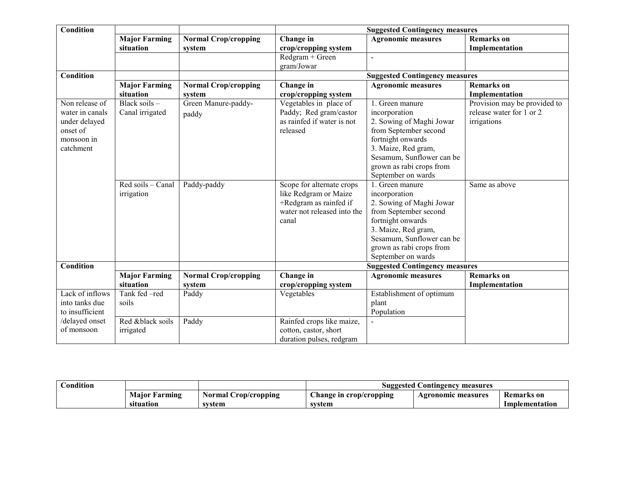| <b>Condition</b> |                      |                             |                             | <b>Suggested Contingency measures</b> |                              |
|------------------|----------------------|-----------------------------|-----------------------------|---------------------------------------|------------------------------|
|                  | <b>Major Farming</b> | <b>Normal Crop/cropping</b> | Change in                   | <b>Agronomic measures</b>             | <b>Remarks</b> on            |
|                  | situation            | system                      | crop/cropping system        |                                       | Implementation               |
|                  |                      |                             | Redgram + Green             |                                       |                              |
|                  |                      |                             | gram/Jowar                  |                                       |                              |
| Condition        |                      |                             |                             | <b>Suggested Contingency measures</b> |                              |
|                  | <b>Major Farming</b> | <b>Normal Crop/cropping</b> | Change in                   | <b>Agronomic measures</b>             | <b>Remarks</b> on            |
|                  | situation            | system                      | crop/cropping system        |                                       | Implementation               |
| Non release of   | Black soils -        | Green Manure-paddy-         | Vegetables in place of      | $\overline{1}$ . Green manure         | Provision may be provided to |
| water in canals  | Canal irrigated      | paddy                       | Paddy; Red gram/castor      | incorporation                         | release water for 1 or 2     |
| under delayed    |                      |                             | as rainfed if water is not  | 2. Sowing of Maghi Jowar              | irrigations                  |
| onset of         |                      |                             | released                    | from September second                 |                              |
| monsoon in       |                      |                             |                             | fortnight onwards                     |                              |
| catchment        |                      |                             |                             | 3. Maize, Red gram,                   |                              |
|                  |                      |                             |                             | Sesamum, Sunflower can be             |                              |
|                  |                      |                             |                             | grown as rabi crops from              |                              |
|                  |                      |                             |                             | September on wards                    |                              |
|                  | Red soils - Canal    | Paddy-paddy                 | Scope for alternate crops   | 1. Green manure                       | Same as above                |
|                  | irrigation           |                             | like Redgram or Maize       | incorporation                         |                              |
|                  |                      |                             | +Redgram as rainfed if      | 2. Sowing of Maghi Jowar              |                              |
|                  |                      |                             | water not released into the | from September second                 |                              |
|                  |                      |                             | canal                       | fortnight onwards                     |                              |
|                  |                      |                             |                             | 3. Maize, Red gram,                   |                              |
|                  |                      |                             |                             | Sesamum, Sunflower can be             |                              |
|                  |                      |                             |                             | grown as rabi crops from              |                              |
|                  |                      |                             |                             | September on wards                    |                              |
| Condition        |                      |                             |                             | <b>Suggested Contingency measures</b> |                              |
|                  | <b>Major Farming</b> | <b>Normal Crop/cropping</b> | Change in                   | <b>Agronomic measures</b>             | <b>Remarks</b> on            |
|                  | situation            | system                      | crop/cropping system        |                                       | Implementation               |
| Lack of inflows  | Tank fed -red        | Paddy                       | Vegetables                  | Establishment of optimum              |                              |
| into tanks due   | soils                |                             |                             | plant                                 |                              |
| to insufficient  |                      |                             |                             | Population                            |                              |
| /delayed onset   | Red &black soils     | Paddy                       | Rainfed crops like maize,   |                                       |                              |
| of monsoon       | irrigated            |                             | cotton, castor, short       |                                       |                              |
|                  |                      |                             | duration pulses, redgram    |                                       |                              |

| ondition'<br>$\sim$ |                         |                      | l Contingency measures<br>Suggested |                    |                   |  |
|---------------------|-------------------------|----------------------|-------------------------------------|--------------------|-------------------|--|
|                     | <b>Maior</b><br>Farming | Normal Crop/cropping | Change in crop/cropping             | Agronomic measures | <b>Remarks</b> on |  |
|                     | situation               | svstem               | svstem                              |                    | Implementation    |  |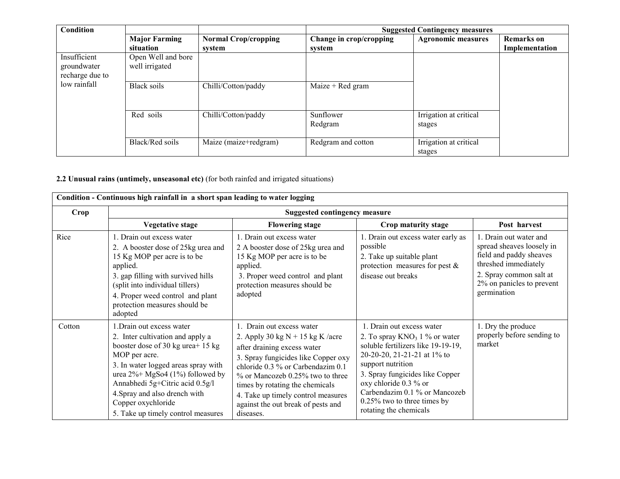| <b>Condition</b>                               |                                      |                                       | <b>Suggested Contingency measures</b> |                                  |                                     |
|------------------------------------------------|--------------------------------------|---------------------------------------|---------------------------------------|----------------------------------|-------------------------------------|
|                                                | <b>Major Farming</b><br>situation    | <b>Normal Crop/cropping</b><br>system | Change in crop/cropping<br>svstem     | <b>Agronomic measures</b>        | <b>Remarks</b> on<br>Implementation |
| Insufficient<br>groundwater<br>recharge due to | Open Well and bore<br>well irrigated |                                       |                                       |                                  |                                     |
| low rainfall                                   | Black soils                          | Chilli/Cotton/paddy                   | Maize + Red gram                      |                                  |                                     |
|                                                | Red soils                            | Chilli/Cotton/paddy                   | Sunflower<br>Redgram                  | Irrigation at critical<br>stages |                                     |
|                                                | Black/Red soils                      | Maize (maize+redgram)                 | Redgram and cotton                    | Irrigation at critical<br>stages |                                     |

#### 2.2 Unusual rains (untimely, unseasonal etc) (for both rainfed and irrigated situations)

| Crop   | <b>Suggested contingency measure</b>                                                                                                                                                                                                                                                                                              |                                                                                                                                                                                                                                                                                                                                               |                                                                                                                                                                                                                                                                                                                  |                                                                                                                                                                               |
|--------|-----------------------------------------------------------------------------------------------------------------------------------------------------------------------------------------------------------------------------------------------------------------------------------------------------------------------------------|-----------------------------------------------------------------------------------------------------------------------------------------------------------------------------------------------------------------------------------------------------------------------------------------------------------------------------------------------|------------------------------------------------------------------------------------------------------------------------------------------------------------------------------------------------------------------------------------------------------------------------------------------------------------------|-------------------------------------------------------------------------------------------------------------------------------------------------------------------------------|
|        | <b>Vegetative stage</b>                                                                                                                                                                                                                                                                                                           | <b>Flowering stage</b>                                                                                                                                                                                                                                                                                                                        | Crop maturity stage                                                                                                                                                                                                                                                                                              | Post harvest                                                                                                                                                                  |
| Rice   | 1. Drain out excess water<br>2. A booster dose of 25kg urea and<br>15 Kg MOP per acre is to be<br>applied.<br>3. gap filling with survived hills<br>(split into individual tillers)<br>4. Proper weed control and plant<br>protection measures should be<br>adopted                                                               | 1. Drain out excess water<br>2 A booster dose of 25kg urea and<br>15 Kg MOP per acre is to be<br>applied.<br>3. Proper weed control and plant<br>protection measures should be<br>adopted                                                                                                                                                     | 1. Drain out excess water early as<br>possible<br>2. Take up suitable plant<br>protection measures for pest $\&$<br>disease out breaks                                                                                                                                                                           | 1. Drain out water and<br>spread sheaves loosely in<br>field and paddy sheaves<br>threshed immediately<br>2. Spray common salt at<br>2% on panicles to prevent<br>germination |
| Cotton | 1. Drain out excess water<br>2. Inter cultivation and apply a<br>booster dose of 30 kg urea+ 15 kg<br>MOP per acre.<br>3. In water logged areas spray with<br>urea $2\%$ + MgSo4 (1%) followed by<br>Annabhedi 5g+Citric acid 0.5g/l<br>4. Spray and also drench with<br>Copper oxychloride<br>5. Take up timely control measures | 1. Drain out excess water<br>2. Apply 30 kg $N + 15$ kg K /acre<br>after draining excess water<br>3. Spray fungicides like Copper oxy<br>chloride 0.3 % or Carbendazim 0.1<br>$\%$ or Mancozeb 0.25% two to three<br>times by rotating the chemicals<br>4. Take up timely control measures<br>against the out break of pests and<br>diseases. | 1. Drain out excess water<br>2. To spray $KNO_3$ 1 % or water<br>soluble fertilizers like 19-19-19,<br>20-20-20, 21-21-21 at 1% to<br>support nutrition<br>3. Spray fungicides like Copper<br>oxy chloride 0.3 % or<br>Carbendazim 0.1 % or Mancozeb<br>$0.25\%$ two to three times by<br>rotating the chemicals | 1. Dry the produce<br>properly before sending to<br>market                                                                                                                    |

Condition - Continuous high rainfall in a short span leading to water logging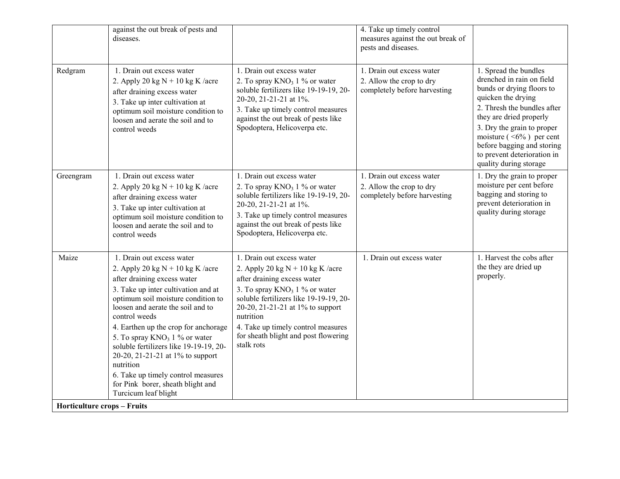|                                    | against the out break of pests and<br>diseases.                                                                                                                                                                                                                                                                                                                                                                                                                                                                      |                                                                                                                                                                                                                                                                                                                           | 4. Take up timely control<br>measures against the out break of<br>pests and diseases. |                                                                                                                                                                                                                                                                                                                    |
|------------------------------------|----------------------------------------------------------------------------------------------------------------------------------------------------------------------------------------------------------------------------------------------------------------------------------------------------------------------------------------------------------------------------------------------------------------------------------------------------------------------------------------------------------------------|---------------------------------------------------------------------------------------------------------------------------------------------------------------------------------------------------------------------------------------------------------------------------------------------------------------------------|---------------------------------------------------------------------------------------|--------------------------------------------------------------------------------------------------------------------------------------------------------------------------------------------------------------------------------------------------------------------------------------------------------------------|
| Redgram                            | 1. Drain out excess water<br>2. Apply 20 kg $N + 10$ kg K /acre<br>after draining excess water<br>3. Take up inter cultivation at<br>optimum soil moisture condition to<br>loosen and aerate the soil and to<br>control weeds                                                                                                                                                                                                                                                                                        | 1. Drain out excess water<br>2. To spray $KNO_3$ 1 % or water<br>soluble fertilizers like 19-19-19, 20-<br>20-20, 21-21-21 at 1%.<br>3. Take up timely control measures<br>against the out break of pests like<br>Spodoptera, Helicoverpa etc.                                                                            | 1. Drain out excess water<br>2. Allow the crop to dry<br>completely before harvesting | 1. Spread the bundles<br>drenched in rain on field<br>bunds or drying floors to<br>quicken the drying<br>2. Thresh the bundles after<br>they are dried properly<br>3. Dry the grain to proper<br>moisture $($ <6%) per cent<br>before bagging and storing<br>to prevent deterioration in<br>quality during storage |
| Greengram                          | 1. Drain out excess water<br>2. Apply 20 kg $N + 10$ kg K /acre<br>after draining excess water<br>3. Take up inter cultivation at<br>optimum soil moisture condition to<br>loosen and aerate the soil and to<br>control weeds                                                                                                                                                                                                                                                                                        | 1. Drain out excess water<br>2. To spray $KNO_3$ 1 % or water<br>soluble fertilizers like 19-19-19, 20-<br>20-20, 21-21-21 at 1%.<br>3. Take up timely control measures<br>against the out break of pests like<br>Spodoptera, Helicoverpa etc.                                                                            | 1. Drain out excess water<br>2. Allow the crop to dry<br>completely before harvesting | 1. Dry the grain to proper<br>moisture per cent before<br>bagging and storing to<br>prevent deterioration in<br>quality during storage                                                                                                                                                                             |
| Maize                              | 1. Drain out excess water<br>2. Apply 20 kg $N + 10$ kg K /acre<br>after draining excess water<br>3. Take up inter cultivation and at<br>optimum soil moisture condition to<br>loosen and aerate the soil and to<br>control weeds<br>4. Earthen up the crop for anchorage<br>5. To spray KNO <sub>3</sub> 1 % or water<br>soluble fertilizers like 19-19-19, 20-<br>20-20, 21-21-21 at 1% to support<br>nutrition<br>6. Take up timely control measures<br>for Pink borer, sheath blight and<br>Turcicum leaf blight | 1. Drain out excess water<br>2. Apply 20 kg $N + 10$ kg K /acre<br>after draining excess water<br>3. To spray $KNO_3$ 1 % or water<br>soluble fertilizers like 19-19-19, 20-<br>20-20, 21-21-21 at 1% to support<br>nutrition<br>4. Take up timely control measures<br>for sheath blight and post flowering<br>stalk rots | 1. Drain out excess water                                                             | 1. Harvest the cobs after<br>the they are dried up<br>properly.                                                                                                                                                                                                                                                    |
| <b>Horticulture crops - Fruits</b> |                                                                                                                                                                                                                                                                                                                                                                                                                                                                                                                      |                                                                                                                                                                                                                                                                                                                           |                                                                                       |                                                                                                                                                                                                                                                                                                                    |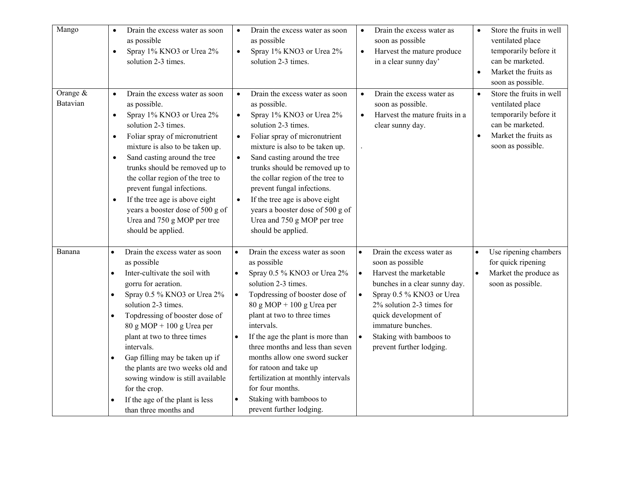| Mango                | Drain the excess water as soon<br>as possible<br>Spray 1% KNO3 or Urea 2%<br>$\bullet$<br>solution 2-3 times.                                                                                                                                                                                                                                                                                                                                                                                                                                                                  | Drain the excess water as soon<br>as possible<br>Spray 1% KNO3 or Urea 2%<br>$\bullet$<br>solution 2-3 times.                                                                                                                                                                                                                                                                                                                                                                                                                           | Drain the excess water as<br>soon as possible<br>Harvest the mature produce<br>$\bullet$<br>in a clear sunny day'                                                                                                                                                                               | Store the fruits in well<br>$\bullet$<br>ventilated place<br>temporarily before it<br>can be marketed.<br>Market the fruits as<br>$\bullet$<br>soon as possible. |
|----------------------|--------------------------------------------------------------------------------------------------------------------------------------------------------------------------------------------------------------------------------------------------------------------------------------------------------------------------------------------------------------------------------------------------------------------------------------------------------------------------------------------------------------------------------------------------------------------------------|-----------------------------------------------------------------------------------------------------------------------------------------------------------------------------------------------------------------------------------------------------------------------------------------------------------------------------------------------------------------------------------------------------------------------------------------------------------------------------------------------------------------------------------------|-------------------------------------------------------------------------------------------------------------------------------------------------------------------------------------------------------------------------------------------------------------------------------------------------|------------------------------------------------------------------------------------------------------------------------------------------------------------------|
| Orange &<br>Batavian | Drain the excess water as soon<br>$\bullet$<br>as possible.<br>Spray 1% KNO3 or Urea 2%<br>$\bullet$<br>solution 2-3 times.<br>Foliar spray of micronutrient<br>$\bullet$<br>mixture is also to be taken up.<br>Sand casting around the tree<br>$\bullet$<br>trunks should be removed up to<br>the collar region of the tree to<br>prevent fungal infections.<br>If the tree age is above eight<br>$\bullet$<br>years a booster dose of 500 g of<br>Urea and 750 g MOP per tree<br>should be applied.                                                                          | Drain the excess water as soon<br>$\bullet$<br>as possible.<br>Spray 1% KNO3 or Urea 2%<br>$\bullet$<br>solution 2-3 times.<br>Foliar spray of micronutrient<br>$\bullet$<br>mixture is also to be taken up.<br>Sand casting around the tree<br>$\bullet$<br>trunks should be removed up to<br>the collar region of the tree to<br>prevent fungal infections.<br>If the tree age is above eight<br>$\bullet$<br>years a booster dose of 500 g of<br>Urea and 750 g MOP per tree<br>should be applied.                                   | Drain the excess water as<br>$\bullet$<br>soon as possible.<br>Harvest the mature fruits in a<br>clear sunny day.                                                                                                                                                                               | Store the fruits in well<br>$\bullet$<br>ventilated place<br>temporarily before it<br>can be marketed.<br>Market the fruits as<br>$\bullet$<br>soon as possible. |
| Banana               | Drain the excess water as soon<br>$\bullet$<br>as possible<br>Inter-cultivate the soil with<br>$\bullet$<br>gorru for aeration.<br>Spray 0.5 % KNO3 or Urea 2%<br>$\bullet$<br>solution 2-3 times.<br>Topdressing of booster dose of<br>$\bullet$<br>$80 \text{ g} \text{ MOP} + 100 \text{ g} \text{ Urea per}$<br>plant at two to three times<br>intervals.<br>Gap filling may be taken up if<br>$\bullet$<br>the plants are two weeks old and<br>sowing window is still available<br>for the crop.<br>If the age of the plant is less<br>$\bullet$<br>than three months and | Drain the excess water as soon<br>$\bullet$<br>as possible<br>Spray 0.5 % KNO3 or Urea 2%<br>$\bullet$<br>solution 2-3 times.<br>Topdressing of booster dose of<br>$\bullet$<br>$80 g MOP + 100 g Urea per$<br>plant at two to three times<br>intervals.<br>If the age the plant is more than<br>$\bullet$<br>three months and less than seven<br>months allow one sword sucker<br>for ratoon and take up<br>fertilization at monthly intervals<br>for four months.<br>Staking with bamboos to<br>$\bullet$<br>prevent further lodging. | Drain the excess water as<br>soon as possible<br>Harvest the marketable<br>$\bullet$<br>bunches in a clear sunny day.<br>Spray 0.5 % KNO3 or Urea<br>$\bullet$<br>2% solution 2-3 times for<br>quick development of<br>immature bunches.<br>Staking with bamboos to<br>prevent further lodging. | Use ripening chambers<br>for quick ripening<br>Market the produce as<br>$\bullet$<br>soon as possible.                                                           |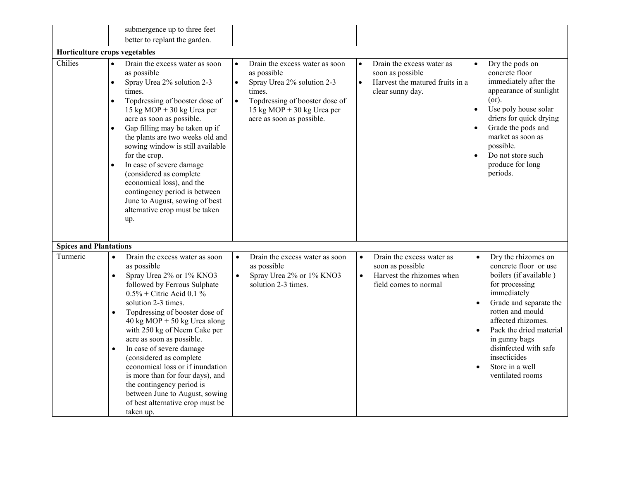|                               | submergence up to three feet                                                                                                                                                                                                                                                                                                                                                                                                                                                                                                                                                         |                                                                                                                                                                                                                           |                                                                                                                                |                                                                                                                                                                                                                                                                                                                                                             |
|-------------------------------|--------------------------------------------------------------------------------------------------------------------------------------------------------------------------------------------------------------------------------------------------------------------------------------------------------------------------------------------------------------------------------------------------------------------------------------------------------------------------------------------------------------------------------------------------------------------------------------|---------------------------------------------------------------------------------------------------------------------------------------------------------------------------------------------------------------------------|--------------------------------------------------------------------------------------------------------------------------------|-------------------------------------------------------------------------------------------------------------------------------------------------------------------------------------------------------------------------------------------------------------------------------------------------------------------------------------------------------------|
|                               | better to replant the garden.                                                                                                                                                                                                                                                                                                                                                                                                                                                                                                                                                        |                                                                                                                                                                                                                           |                                                                                                                                |                                                                                                                                                                                                                                                                                                                                                             |
| Horticulture crops vegetables |                                                                                                                                                                                                                                                                                                                                                                                                                                                                                                                                                                                      |                                                                                                                                                                                                                           |                                                                                                                                |                                                                                                                                                                                                                                                                                                                                                             |
| Chilies                       | Drain the excess water as soon<br>$\bullet$<br>as possible<br>Spray Urea 2% solution 2-3<br>$\bullet$<br>times.<br>Topdressing of booster dose of<br>$\bullet$<br>15 kg MOP + 30 kg Urea per<br>acre as soon as possible.<br>Gap filling may be taken up if<br>$\bullet$<br>the plants are two weeks old and<br>sowing window is still available<br>for the crop.<br>In case of severe damage<br>(considered as complete<br>economical loss), and the<br>contingency period is between<br>June to August, sowing of best<br>alternative crop must be taken<br>up.                    | Drain the excess water as soon<br>$\bullet$<br>as possible<br>Spray Urea 2% solution 2-3<br>$\bullet$<br>times.<br>Topdressing of booster dose of<br>$\bullet$<br>15 kg MOP + 30 kg Urea per<br>acre as soon as possible. | Drain the excess water as<br>$\bullet$<br>soon as possible<br>Harvest the matured fruits in a<br>$\bullet$<br>clear sunny day. | Dry the pods on<br>$\bullet$<br>concrete floor<br>immediately after the<br>appearance of sunlight<br>$($ or $).$<br>Use poly house solar<br>$\bullet$<br>driers for quick drying<br>Grade the pods and<br>market as soon as<br>possible.<br>Do not store such<br>produce for long<br>periods.                                                               |
| <b>Spices and Plantations</b> |                                                                                                                                                                                                                                                                                                                                                                                                                                                                                                                                                                                      |                                                                                                                                                                                                                           |                                                                                                                                |                                                                                                                                                                                                                                                                                                                                                             |
| Turmeric                      | Drain the excess water as soon<br>$\bullet$<br>as possible<br>Spray Urea 2% or 1% KNO3<br>$\bullet$<br>followed by Ferrous Sulphate<br>$0.5\%$ + Citric Acid 0.1 %<br>solution 2-3 times.<br>Topdressing of booster dose of<br>40 kg MOP + 50 kg Urea along<br>with 250 kg of Neem Cake per<br>acre as soon as possible.<br>In case of severe damage<br>$\bullet$<br>(considered as complete<br>economical loss or if inundation<br>is more than for four days), and<br>the contingency period is<br>between June to August, sowing<br>of best alternative crop must be<br>taken up. | Drain the excess water as soon<br>$\bullet$<br>as possible<br>Spray Urea 2% or 1% KNO3<br>$\bullet$<br>solution 2-3 times.                                                                                                | Drain the excess water as<br>$\bullet$<br>soon as possible<br>$\bullet$<br>Harvest the rhizomes when<br>field comes to normal  | Dry the rhizomes on<br>$\bullet$<br>concrete floor or use<br>boilers (if available)<br>for processing<br>immediately<br>Grade and separate the<br>$\bullet$<br>rotten and mould<br>affected rhizomes.<br>Pack the dried material<br>$\bullet$<br>in gunny bags<br>disinfected with safe<br>insecticides<br>Store in a well<br>$\bullet$<br>ventilated rooms |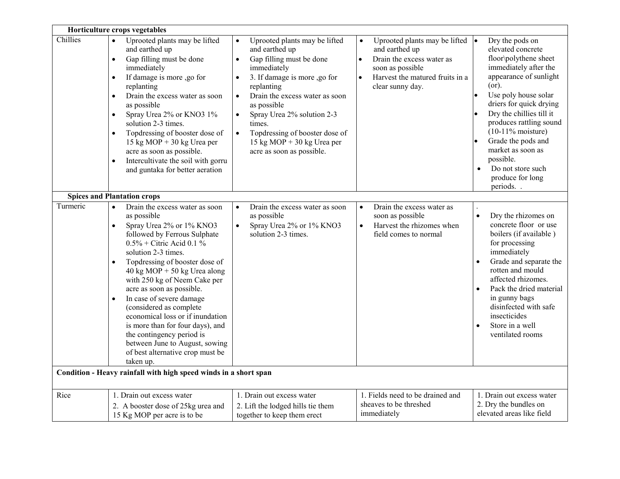|          | Horticulture crops vegetables                                                                                                                                                                                                                                                                                                                                                                                                                                                                                                                                                             |                                                                                                                                                                                                                                                                                                                                                                                                              |                                                                                                                                                                                                 |                                                                                                                                                                                                                                                                                                                                                                                       |
|----------|-------------------------------------------------------------------------------------------------------------------------------------------------------------------------------------------------------------------------------------------------------------------------------------------------------------------------------------------------------------------------------------------------------------------------------------------------------------------------------------------------------------------------------------------------------------------------------------------|--------------------------------------------------------------------------------------------------------------------------------------------------------------------------------------------------------------------------------------------------------------------------------------------------------------------------------------------------------------------------------------------------------------|-------------------------------------------------------------------------------------------------------------------------------------------------------------------------------------------------|---------------------------------------------------------------------------------------------------------------------------------------------------------------------------------------------------------------------------------------------------------------------------------------------------------------------------------------------------------------------------------------|
| Chillies | Uprooted plants may be lifted<br>and earthed up<br>Gap filling must be done<br>$\bullet$<br>immediately<br>If damage is more ,go for<br>replanting<br>Drain the excess water as soon<br>$\bullet$<br>as possible<br>Spray Urea 2% or KNO3 1%<br>solution 2-3 times.<br>Topdressing of booster dose of<br>$\bullet$<br>15 kg MOP + 30 kg Urea per<br>acre as soon as possible.<br>Intercultivate the soil with gorru<br>$\bullet$<br>and guntaka for better aeration                                                                                                                       | Uprooted plants may be lifted<br>$\bullet$<br>and earthed up<br>Gap filling must be done<br>$\bullet$<br>immediately<br>3. If damage is more ,go for<br>$\bullet$<br>replanting<br>Drain the excess water as soon<br>$\bullet$<br>as possible<br>Spray Urea 2% solution 2-3<br>$\bullet$<br>times.<br>Topdressing of booster dose of<br>$\bullet$<br>15 kg MOP + 30 kg Urea per<br>acre as soon as possible. | Uprooted plants may be lifted $  \bullet  $<br>and earthed up<br>Drain the excess water as<br>$\bullet$<br>soon as possible<br>Harvest the matured fruits in a<br>$\bullet$<br>clear sunny day. | Dry the pods on<br>elevated concrete<br>floor\polythene sheet<br>immediately after the<br>appearance of sunlight<br>(or).<br>Use poly house solar<br>I۰<br>driers for quick drying<br>Dry the chillies till it<br>produces rattling sound<br>$(10-11\% \text{ moisture})$<br>Grade the pods and<br>market as soon as<br>possible.<br>Do not store such<br>produce for long<br>periods |
|          | <b>Spices and Plantation crops</b>                                                                                                                                                                                                                                                                                                                                                                                                                                                                                                                                                        |                                                                                                                                                                                                                                                                                                                                                                                                              |                                                                                                                                                                                                 |                                                                                                                                                                                                                                                                                                                                                                                       |
| Turmeric | Drain the excess water as soon<br>as possible<br>Spray Urea 2% or 1% KNO3<br>$\bullet$<br>followed by Ferrous Sulphate<br>$0.5\%$ + Citric Acid 0.1 %<br>solution 2-3 times.<br>Topdressing of booster dose of<br>$40 \text{ kg MOP} + 50 \text{ kg Urea along}$<br>with 250 kg of Neem Cake per<br>acre as soon as possible.<br>In case of severe damage<br>$\bullet$<br>(considered as complete<br>economical loss or if inundation<br>is more than for four days), and<br>the contingency period is<br>between June to August, sowing<br>of best alternative crop must be<br>taken up. | Drain the excess water as soon<br>$\bullet$<br>as possible<br>Spray Urea 2% or 1% KNO3<br>$\bullet$<br>solution 2-3 times.                                                                                                                                                                                                                                                                                   | Drain the excess water as<br>$\bullet$<br>soon as possible<br>Harvest the rhizomes when<br>$\bullet$<br>field comes to normal                                                                   | Dry the rhizomes on<br>$\bullet$<br>concrete floor or use<br>boilers (if available)<br>for processing<br>immediately<br>Grade and separate the<br>$\bullet$<br>rotten and mould<br>affected rhizomes.<br>Pack the dried material<br>in gunny bags<br>disinfected with safe<br>insecticides<br>Store in a well<br>$\bullet$<br>ventilated rooms                                        |
|          | Condition - Heavy rainfall with high speed winds in a short span                                                                                                                                                                                                                                                                                                                                                                                                                                                                                                                          |                                                                                                                                                                                                                                                                                                                                                                                                              |                                                                                                                                                                                                 |                                                                                                                                                                                                                                                                                                                                                                                       |
| Rice     | 1. Drain out excess water<br>2. A booster dose of 25kg urea and<br>15 Kg MOP per acre is to be                                                                                                                                                                                                                                                                                                                                                                                                                                                                                            | 1. Drain out excess water<br>2. Lift the lodged hills tie them<br>together to keep them erect                                                                                                                                                                                                                                                                                                                | 1. Fields need to be drained and<br>sheaves to be threshed<br>immediately                                                                                                                       | 1. Drain out excess water<br>2. Dry the bundles on<br>elevated areas like field                                                                                                                                                                                                                                                                                                       |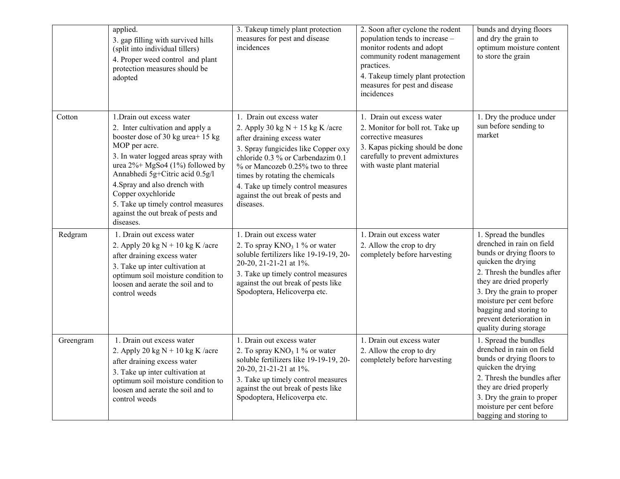|           | applied.<br>3. gap filling with survived hills<br>(split into individual tillers)<br>4. Proper weed control and plant<br>protection measures should be<br>adopted                                                                                                                                                                                                                | 3. Takeup timely plant protection<br>measures for pest and disease<br>incidences                                                                                                                                                                                                                                                           | 2. Soon after cyclone the rodent<br>population tends to increase –<br>monitor rodents and adopt<br>community rodent management<br>practices.<br>4. Takeup timely plant protection<br>measures for pest and disease<br>incidences | bunds and drying floors<br>and dry the grain to<br>optimum moisture content<br>to store the grain                                                                                                                                                                                                         |
|-----------|----------------------------------------------------------------------------------------------------------------------------------------------------------------------------------------------------------------------------------------------------------------------------------------------------------------------------------------------------------------------------------|--------------------------------------------------------------------------------------------------------------------------------------------------------------------------------------------------------------------------------------------------------------------------------------------------------------------------------------------|----------------------------------------------------------------------------------------------------------------------------------------------------------------------------------------------------------------------------------|-----------------------------------------------------------------------------------------------------------------------------------------------------------------------------------------------------------------------------------------------------------------------------------------------------------|
| Cotton    | 1. Drain out excess water<br>2. Inter cultivation and apply a<br>booster dose of 30 kg urea+ 15 kg<br>MOP per acre.<br>3. In water logged areas spray with<br>urea 2%+ MgSo4 (1%) followed by<br>Annabhedi 5g+Citric acid 0.5g/l<br>4. Spray and also drench with<br>Copper oxychloride<br>5. Take up timely control measures<br>against the out break of pests and<br>diseases. | 1. Drain out excess water<br>2. Apply 30 kg $N + 15$ kg K /acre<br>after draining excess water<br>3. Spray fungicides like Copper oxy<br>chloride 0.3 % or Carbendazim 0.1<br>% or Mancozeb 0.25% two to three<br>times by rotating the chemicals<br>4. Take up timely control measures<br>against the out break of pests and<br>diseases. | 1. Drain out excess water<br>2. Monitor for boll rot. Take up<br>corrective measures<br>3. Kapas picking should be done<br>carefully to prevent admixtures<br>with waste plant material                                          | 1. Dry the produce under<br>sun before sending to<br>market                                                                                                                                                                                                                                               |
| Redgram   | 1. Drain out excess water<br>2. Apply 20 kg $N + 10$ kg K /acre<br>after draining excess water<br>3. Take up inter cultivation at<br>optimum soil moisture condition to<br>loosen and aerate the soil and to<br>control weeds                                                                                                                                                    | 1. Drain out excess water<br>2. To spray $KNO_3$ 1 % or water<br>soluble fertilizers like 19-19-19, 20-<br>20-20, 21-21-21 at 1%.<br>3. Take up timely control measures<br>against the out break of pests like<br>Spodoptera, Helicoverpa etc.                                                                                             | 1. Drain out excess water<br>2. Allow the crop to dry<br>completely before harvesting                                                                                                                                            | 1. Spread the bundles<br>drenched in rain on field<br>bunds or drying floors to<br>quicken the drying<br>2. Thresh the bundles after<br>they are dried properly<br>3. Dry the grain to proper<br>moisture per cent before<br>bagging and storing to<br>prevent deterioration in<br>quality during storage |
| Greengram | 1. Drain out excess water<br>2. Apply 20 kg $N + 10$ kg K /acre<br>after draining excess water<br>3. Take up inter cultivation at<br>optimum soil moisture condition to<br>loosen and aerate the soil and to<br>control weeds                                                                                                                                                    | 1. Drain out excess water<br>2. To spray $KNO_3$ 1 % or water<br>soluble fertilizers like 19-19-19, 20-<br>20-20, 21-21-21 at 1%.<br>3. Take up timely control measures<br>against the out break of pests like<br>Spodoptera, Helicoverpa etc.                                                                                             | 1. Drain out excess water<br>2. Allow the crop to dry<br>completely before harvesting                                                                                                                                            | 1. Spread the bundles<br>drenched in rain on field<br>bunds or drying floors to<br>quicken the drying<br>2. Thresh the bundles after<br>they are dried properly<br>3. Dry the grain to proper<br>moisture per cent before<br>bagging and storing to                                                       |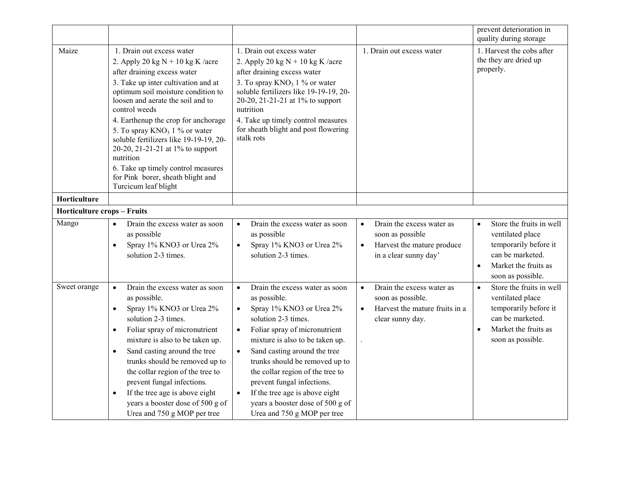|                                    |                                                                                                                                                                                                                                                                                                                                                                                                                                                                                                            |                                                                                                                                                                                                                                                                                                                                                                                                                                                                                 |                                                                                                                                | prevent deterioration in<br>quality during storage                                                                                                               |
|------------------------------------|------------------------------------------------------------------------------------------------------------------------------------------------------------------------------------------------------------------------------------------------------------------------------------------------------------------------------------------------------------------------------------------------------------------------------------------------------------------------------------------------------------|---------------------------------------------------------------------------------------------------------------------------------------------------------------------------------------------------------------------------------------------------------------------------------------------------------------------------------------------------------------------------------------------------------------------------------------------------------------------------------|--------------------------------------------------------------------------------------------------------------------------------|------------------------------------------------------------------------------------------------------------------------------------------------------------------|
| Maize                              | 1. Drain out excess water<br>2. Apply 20 kg $N + 10$ kg K /acre<br>after draining excess water<br>3. Take up inter cultivation and at<br>optimum soil moisture condition to<br>loosen and aerate the soil and to<br>control weeds<br>4. Earthenup the crop for anchorage<br>5. To spray $KNO_3$ 1 % or water<br>soluble fertilizers like 19-19-19, 20-<br>20-20, 21-21-21 at 1% to support<br>nutrition<br>6. Take up timely control measures<br>for Pink borer, sheath blight and<br>Turcicum leaf blight | 1. Drain out excess water<br>2. Apply 20 kg $N + 10$ kg K /acre<br>after draining excess water<br>3. To spray $KNO_3$ 1 % or water<br>soluble fertilizers like 19-19-19, 20-<br>20-20, 21-21-21 at 1% to support<br>nutrition<br>4. Take up timely control measures<br>for sheath blight and post flowering<br>stalk rots                                                                                                                                                       | 1. Drain out excess water                                                                                                      | 1. Harvest the cobs after<br>the they are dried up<br>properly.                                                                                                  |
| Horticulture                       |                                                                                                                                                                                                                                                                                                                                                                                                                                                                                                            |                                                                                                                                                                                                                                                                                                                                                                                                                                                                                 |                                                                                                                                |                                                                                                                                                                  |
| <b>Horticulture crops - Fruits</b> |                                                                                                                                                                                                                                                                                                                                                                                                                                                                                                            |                                                                                                                                                                                                                                                                                                                                                                                                                                                                                 |                                                                                                                                |                                                                                                                                                                  |
| Mango                              | Drain the excess water as soon<br>$\bullet$<br>as possible<br>Spray 1% KNO3 or Urea 2%<br>$\bullet$<br>solution 2-3 times.                                                                                                                                                                                                                                                                                                                                                                                 | Drain the excess water as soon<br>$\bullet$<br>as possible<br>Spray 1% KNO3 or Urea 2%<br>$\bullet$<br>solution 2-3 times.                                                                                                                                                                                                                                                                                                                                                      | Drain the excess water as<br>$\bullet$<br>soon as possible<br>Harvest the mature produce<br>$\bullet$<br>in a clear sunny day' | Store the fruits in well<br>$\bullet$<br>ventilated place<br>temporarily before it<br>can be marketed.<br>Market the fruits as<br>$\bullet$<br>soon as possible. |
| Sweet orange                       | Drain the excess water as soon<br>$\bullet$<br>as possible.<br>Spray 1% KNO3 or Urea 2%<br>$\bullet$<br>solution 2-3 times.<br>Foliar spray of micronutrient<br>$\bullet$<br>mixture is also to be taken up.<br>Sand casting around the tree<br>$\bullet$<br>trunks should be removed up to<br>the collar region of the tree to<br>prevent fungal infections.<br>If the tree age is above eight<br>$\bullet$<br>years a booster dose of 500 g of<br>Urea and 750 g MOP per tree                            | Drain the excess water as soon<br>$\bullet$<br>as possible.<br>Spray 1% KNO3 or Urea 2%<br>$\bullet$<br>solution 2-3 times.<br>Foliar spray of micronutrient<br>$\bullet$<br>mixture is also to be taken up.<br>Sand casting around the tree<br>$\bullet$<br>trunks should be removed up to<br>the collar region of the tree to<br>prevent fungal infections.<br>If the tree age is above eight<br>$\bullet$<br>years a booster dose of 500 g of<br>Urea and 750 g MOP per tree | Drain the excess water as<br>$\bullet$<br>soon as possible.<br>Harvest the mature fruits in a<br>$\bullet$<br>clear sunny day. | Store the fruits in well<br>$\bullet$<br>ventilated place<br>temporarily before it<br>can be marketed.<br>Market the fruits as<br>$\bullet$<br>soon as possible. |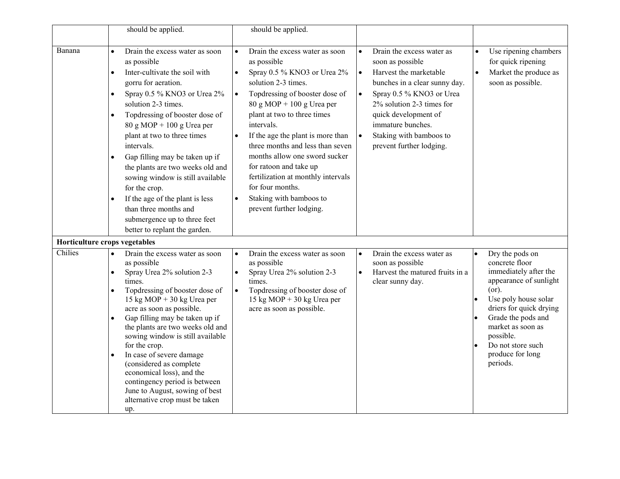|                               | should be applied.                                                                                                                                                                                                                                                                                                                                                                                                                                                                                                                                                                                               | should be applied.                                                                                                                                                                                                                                                                                                                                                                                                                                                                                                                       |                                                                                                                                                                                                                                                                                                              |                                                                                                                                                                                                                                                               |
|-------------------------------|------------------------------------------------------------------------------------------------------------------------------------------------------------------------------------------------------------------------------------------------------------------------------------------------------------------------------------------------------------------------------------------------------------------------------------------------------------------------------------------------------------------------------------------------------------------------------------------------------------------|------------------------------------------------------------------------------------------------------------------------------------------------------------------------------------------------------------------------------------------------------------------------------------------------------------------------------------------------------------------------------------------------------------------------------------------------------------------------------------------------------------------------------------------|--------------------------------------------------------------------------------------------------------------------------------------------------------------------------------------------------------------------------------------------------------------------------------------------------------------|---------------------------------------------------------------------------------------------------------------------------------------------------------------------------------------------------------------------------------------------------------------|
| Banana                        | Drain the excess water as soon<br>$\bullet$<br>as possible<br>Inter-cultivate the soil with<br>$\bullet$<br>gorru for aeration.<br>Spray 0.5 % KNO3 or Urea 2%<br>$\bullet$<br>solution 2-3 times.<br>Topdressing of booster dose of<br>$\bullet$<br>$80 g MOP + 100 g U$ rea per<br>plant at two to three times<br>intervals.<br>Gap filling may be taken up if<br>$\bullet$<br>the plants are two weeks old and<br>sowing window is still available<br>for the crop.<br>If the age of the plant is less<br>$\bullet$<br>than three months and<br>submergence up to three feet<br>better to replant the garden. | Drain the excess water as soon<br>$\bullet$<br>as possible<br>Spray 0.5 % KNO3 or Urea 2%<br>$\bullet$<br>solution 2-3 times.<br>Topdressing of booster dose of<br>$\bullet$<br>$80 g MOP + 100 g U$ rea per<br>plant at two to three times<br>intervals.<br>If the age the plant is more than<br>$\bullet$<br>three months and less than seven<br>months allow one sword sucker<br>for ratoon and take up<br>fertilization at monthly intervals<br>for four months.<br>Staking with bamboos to<br>$\bullet$<br>prevent further lodging. | Drain the excess water as<br>soon as possible<br>Harvest the marketable<br>$\bullet$<br>bunches in a clear sunny day.<br>Spray 0.5 % KNO3 or Urea<br>$\bullet$<br>2% solution 2-3 times for<br>quick development of<br>immature bunches.<br>Staking with bamboos to<br>$\bullet$<br>prevent further lodging. | Use ripening chambers<br>for quick ripening<br>Market the produce as<br>$\bullet$<br>soon as possible.                                                                                                                                                        |
| Horticulture crops vegetables |                                                                                                                                                                                                                                                                                                                                                                                                                                                                                                                                                                                                                  |                                                                                                                                                                                                                                                                                                                                                                                                                                                                                                                                          |                                                                                                                                                                                                                                                                                                              |                                                                                                                                                                                                                                                               |
| Chilies                       | Drain the excess water as soon<br>as possible<br>Spray Urea 2% solution 2-3<br>$\bullet$<br>times.<br>Topdressing of booster dose of<br>$\bullet$<br>15 kg MOP + 30 kg Urea per<br>acre as soon as possible.<br>Gap filling may be taken up if<br>$\bullet$<br>the plants are two weeks old and<br>sowing window is still available<br>for the crop.<br>In case of severe damage<br>$\bullet$<br>(considered as complete<br>economical loss), and the<br>contingency period is between<br>June to August, sowing of best<br>alternative crop must be taken<br>up.                                                | Drain the excess water as soon<br>as possible<br>Spray Urea 2% solution 2-3<br>$\bullet$<br>times.<br>Topdressing of booster dose of<br>$\bullet$<br>15 kg MOP + 30 kg Urea per<br>acre as soon as possible.                                                                                                                                                                                                                                                                                                                             | Drain the excess water as<br>soon as possible<br>Harvest the matured fruits in a<br>$\bullet$<br>clear sunny day.                                                                                                                                                                                            | Dry the pods on<br>concrete floor<br>immediately after the<br>appearance of sunlight<br>(or).<br>Use poly house solar<br>driers for quick drying<br>Grade the pods and<br>market as soon as<br>possible.<br>Do not store such<br>produce for long<br>periods. |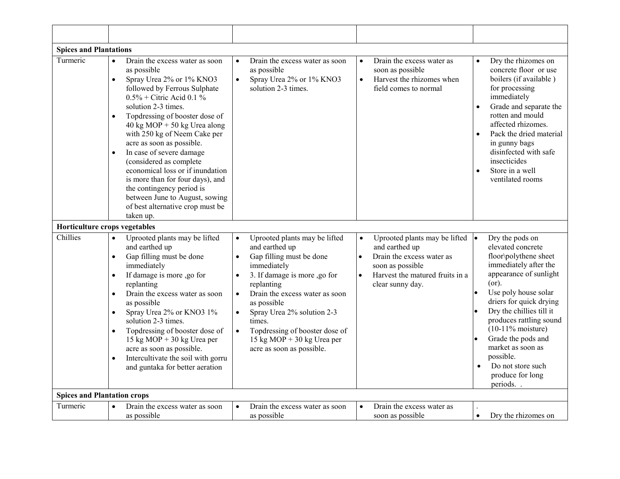| <b>Spices and Plantations</b>      |                                                                                                                                                                                                                                                                                                                                                                                                                                                                                                                                                                                                   |                                                                                                                                                                                                                                                                                                                                                                                                 |                                                                                                                                                                                                              |                                                                                                                                                                                                                                                                                                                                                                                              |
|------------------------------------|---------------------------------------------------------------------------------------------------------------------------------------------------------------------------------------------------------------------------------------------------------------------------------------------------------------------------------------------------------------------------------------------------------------------------------------------------------------------------------------------------------------------------------------------------------------------------------------------------|-------------------------------------------------------------------------------------------------------------------------------------------------------------------------------------------------------------------------------------------------------------------------------------------------------------------------------------------------------------------------------------------------|--------------------------------------------------------------------------------------------------------------------------------------------------------------------------------------------------------------|----------------------------------------------------------------------------------------------------------------------------------------------------------------------------------------------------------------------------------------------------------------------------------------------------------------------------------------------------------------------------------------------|
| Turmeric                           | Drain the excess water as soon<br>$\bullet$<br>as possible<br>Spray Urea 2% or 1% KNO3<br>$\bullet$<br>followed by Ferrous Sulphate<br>$0.5\%$ + Citric Acid 0.1 %<br>solution 2-3 times.<br>Topdressing of booster dose of<br>$\bullet$<br>40 kg MOP + 50 kg Urea along<br>with 250 kg of Neem Cake per<br>acre as soon as possible.<br>In case of severe damage<br>$\bullet$<br>(considered as complete<br>economical loss or if inundation<br>is more than for four days), and<br>the contingency period is<br>between June to August, sowing<br>of best alternative crop must be<br>taken up. | Drain the excess water as soon<br>$\bullet$<br>as possible<br>$\bullet$<br>Spray Urea 2% or 1% KNO3<br>solution 2-3 times.                                                                                                                                                                                                                                                                      | Drain the excess water as<br>$\bullet$<br>soon as possible<br>Harvest the rhizomes when<br>$\bullet$<br>field comes to normal                                                                                | Dry the rhizomes on<br>$\bullet$<br>concrete floor or use<br>boilers (if available)<br>for processing<br>immediately<br>Grade and separate the<br>$\bullet$<br>rotten and mould<br>affected rhizomes.<br>Pack the dried material<br>$\bullet$<br>in gunny bags<br>disinfected with safe<br>insecticides<br>Store in a well<br>ventilated rooms                                               |
| Horticulture crops vegetables      |                                                                                                                                                                                                                                                                                                                                                                                                                                                                                                                                                                                                   |                                                                                                                                                                                                                                                                                                                                                                                                 |                                                                                                                                                                                                              |                                                                                                                                                                                                                                                                                                                                                                                              |
| Chillies                           | Uprooted plants may be lifted<br>$\bullet$<br>and earthed up<br>Gap filling must be done<br>$\bullet$<br>immediately<br>If damage is more ,go for<br>replanting<br>Drain the excess water as soon<br>$\bullet$<br>as possible<br>Spray Urea 2% or KNO3 1%<br>$\bullet$<br>solution 2-3 times.<br>Topdressing of booster dose of<br>$\bullet$<br>15 kg MOP + 30 kg Urea per<br>acre as soon as possible.<br>Intercultivate the soil with gorru<br>$\bullet$<br>and guntaka for better aeration                                                                                                     | Uprooted plants may be lifted<br>$\bullet$<br>and earthed up<br>$\bullet$<br>Gap filling must be done<br>immediately<br>3. If damage is more ,go for<br>replanting<br>Drain the excess water as soon<br>$\bullet$<br>as possible<br>Spray Urea 2% solution 2-3<br>$\bullet$<br>times.<br>Topdressing of booster dose of<br>$\bullet$<br>15 kg MOP + 30 kg Urea per<br>acre as soon as possible. | Uprooted plants may be lifted $  \bullet  $<br>$\bullet$<br>and earthed up<br>$\bullet$<br>Drain the excess water as<br>soon as possible<br>Harvest the matured fruits in a<br>$\bullet$<br>clear sunny day. | Dry the pods on<br>elevated concrete<br>floor\polythene sheet<br>immediately after the<br>appearance of sunlight<br>(or).<br>Use poly house solar<br>$\bullet$<br>driers for quick drying<br>Dry the chillies till it<br>produces rattling sound<br>$(10-11\% \text{ moisture})$<br>Grade the pods and<br>market as soon as<br>possible.<br>Do not store such<br>produce for long<br>periods |
| <b>Spices and Plantation crops</b> |                                                                                                                                                                                                                                                                                                                                                                                                                                                                                                                                                                                                   |                                                                                                                                                                                                                                                                                                                                                                                                 |                                                                                                                                                                                                              |                                                                                                                                                                                                                                                                                                                                                                                              |
| Turmeric                           | Drain the excess water as soon<br>as possible                                                                                                                                                                                                                                                                                                                                                                                                                                                                                                                                                     | Drain the excess water as soon<br>$\bullet$<br>as possible                                                                                                                                                                                                                                                                                                                                      | Drain the excess water as<br>$\bullet$<br>soon as possible                                                                                                                                                   | Dry the rhizomes on<br>$\bullet$                                                                                                                                                                                                                                                                                                                                                             |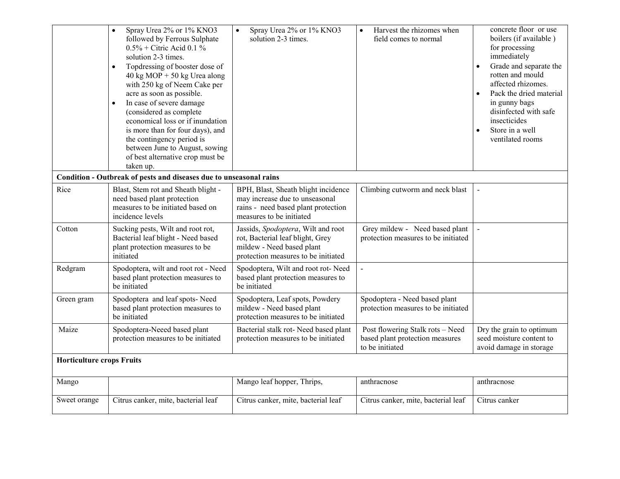|                                  | Spray Urea 2% or 1% KNO3<br>followed by Ferrous Sulphate<br>$0.5\%$ + Citric Acid 0.1 %<br>solution 2-3 times.<br>Topdressing of booster dose of<br>40 kg MOP + 50 kg Urea along<br>with 250 kg of Neem Cake per<br>acre as soon as possible.<br>In case of severe damage<br>$\bullet$<br>(considered as complete<br>economical loss or if inundation<br>is more than for four days), and<br>the contingency period is<br>between June to August, sowing<br>of best alternative crop must be<br>taken up. | Spray Urea 2% or 1% KNO3<br>solution 2-3 times.                                                                                            | Harvest the rhizomes when<br>field comes to normal                                     | concrete floor or use<br>boilers (if available)<br>for processing<br>immediately<br>Grade and separate the<br>rotten and mould<br>affected rhizomes.<br>Pack the dried material<br>in gunny bags<br>disinfected with safe<br>insecticides<br>Store in a well<br>ventilated rooms |
|----------------------------------|-----------------------------------------------------------------------------------------------------------------------------------------------------------------------------------------------------------------------------------------------------------------------------------------------------------------------------------------------------------------------------------------------------------------------------------------------------------------------------------------------------------|--------------------------------------------------------------------------------------------------------------------------------------------|----------------------------------------------------------------------------------------|----------------------------------------------------------------------------------------------------------------------------------------------------------------------------------------------------------------------------------------------------------------------------------|
|                                  | Condition - Outbreak of pests and diseases due to unseasonal rains                                                                                                                                                                                                                                                                                                                                                                                                                                        |                                                                                                                                            |                                                                                        |                                                                                                                                                                                                                                                                                  |
| Rice                             | Blast, Stem rot and Sheath blight -<br>need based plant protection<br>measures to be initiated based on<br>incidence levels                                                                                                                                                                                                                                                                                                                                                                               | BPH, Blast, Sheath blight incidence<br>may increase due to unseasonal<br>rains - need based plant protection<br>measures to be initiated   | Climbing cutworm and neck blast                                                        |                                                                                                                                                                                                                                                                                  |
| Cotton                           | Sucking pests, Wilt and root rot,<br>Bacterial leaf blight - Need based<br>plant protection measures to be<br>initiated                                                                                                                                                                                                                                                                                                                                                                                   | Jassids, Spodoptera, Wilt and root<br>rot, Bacterial leaf blight, Grey<br>mildew - Need based plant<br>protection measures to be initiated | Grey mildew - Need based plant<br>protection measures to be initiated                  |                                                                                                                                                                                                                                                                                  |
| Redgram                          | Spodoptera, wilt and root rot - Need<br>based plant protection measures to<br>be initiated                                                                                                                                                                                                                                                                                                                                                                                                                | Spodoptera, Wilt and root rot-Need<br>based plant protection measures to<br>be initiated                                                   | $\overline{a}$                                                                         |                                                                                                                                                                                                                                                                                  |
| Green gram                       | Spodoptera and leaf spots-Need<br>based plant protection measures to<br>be initiated                                                                                                                                                                                                                                                                                                                                                                                                                      | Spodoptera, Leaf spots, Powdery<br>mildew - Need based plant<br>protection measures to be initiated                                        | Spodoptera - Need based plant<br>protection measures to be initiated                   |                                                                                                                                                                                                                                                                                  |
| Maize                            | Spodoptera-Neeed based plant<br>protection measures to be initiated                                                                                                                                                                                                                                                                                                                                                                                                                                       | Bacterial stalk rot- Need based plant<br>protection measures to be initiated                                                               | Post flowering Stalk rots - Need<br>based plant protection measures<br>to be initiated | Dry the grain to optimum<br>seed moisture content to<br>avoid damage in storage                                                                                                                                                                                                  |
| <b>Horticulture crops Fruits</b> |                                                                                                                                                                                                                                                                                                                                                                                                                                                                                                           |                                                                                                                                            |                                                                                        |                                                                                                                                                                                                                                                                                  |
| Mango                            |                                                                                                                                                                                                                                                                                                                                                                                                                                                                                                           | Mango leaf hopper, Thrips,                                                                                                                 | anthracnose                                                                            | anthracnose                                                                                                                                                                                                                                                                      |
| Sweet orange                     | Citrus canker, mite, bacterial leaf                                                                                                                                                                                                                                                                                                                                                                                                                                                                       | Citrus canker, mite, bacterial leaf                                                                                                        | Citrus canker, mite, bacterial leaf                                                    | Citrus canker                                                                                                                                                                                                                                                                    |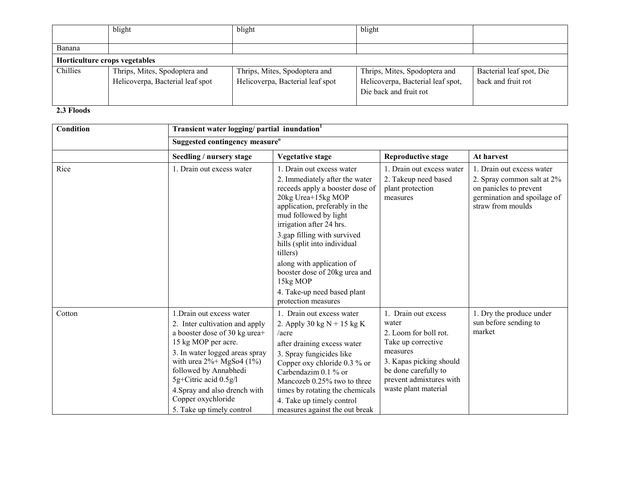|          | blight                                                            | blight                                                            | blight                                                                                       |                                                |  |
|----------|-------------------------------------------------------------------|-------------------------------------------------------------------|----------------------------------------------------------------------------------------------|------------------------------------------------|--|
| Banana   |                                                                   |                                                                   |                                                                                              |                                                |  |
|          | Horticulture crops vegetables                                     |                                                                   |                                                                                              |                                                |  |
| Chillies | Thrips, Mites, Spodoptera and<br>Helicoverpa, Bacterial leaf spot | Thrips, Mites, Spodoptera and<br>Helicoverpa, Bacterial leaf spot | Thrips, Mites, Spodoptera and<br>Helicoverpa, Bacterial leaf spot,<br>Die back and fruit rot | Bacterial leaf spot, Die<br>back and fruit rot |  |

### 2.3 Floods

| Condition | Transient water logging/partial inundation <sup>1</sup>                                                                                                                                                                                                                                                                     |                                                                                                                                                                                                                                                                                                                                                                                                                        |                                                                                                                                                                                               |                                                                                                                                       |
|-----------|-----------------------------------------------------------------------------------------------------------------------------------------------------------------------------------------------------------------------------------------------------------------------------------------------------------------------------|------------------------------------------------------------------------------------------------------------------------------------------------------------------------------------------------------------------------------------------------------------------------------------------------------------------------------------------------------------------------------------------------------------------------|-----------------------------------------------------------------------------------------------------------------------------------------------------------------------------------------------|---------------------------------------------------------------------------------------------------------------------------------------|
|           | Suggested contingency measure <sup>o</sup>                                                                                                                                                                                                                                                                                  |                                                                                                                                                                                                                                                                                                                                                                                                                        |                                                                                                                                                                                               |                                                                                                                                       |
|           | Seedling / nursery stage                                                                                                                                                                                                                                                                                                    | Vegetative stage                                                                                                                                                                                                                                                                                                                                                                                                       | <b>Reproductive stage</b>                                                                                                                                                                     | At harvest                                                                                                                            |
| Rice      | 1. Drain out excess water                                                                                                                                                                                                                                                                                                   | 1. Drain out excess water<br>2. Immediately after the water<br>receeds apply a booster dose of<br>20kg Urea+15kg MOP<br>application, preferably in the<br>mud followed by light<br>irrigation after 24 hrs.<br>3.gap filling with survived<br>hills (split into individual<br>tillers)<br>along with application of<br>booster dose of 20kg urea and<br>15kg MOP<br>4. Take-up need based plant<br>protection measures | 1. Drain out excess water<br>2. Takeup need based<br>plant protection<br>measures                                                                                                             | 1. Drain out excess water<br>2. Spray common salt at 2%<br>on panicles to prevent<br>germination and spoilage of<br>straw from moulds |
| Cotton    | 1. Drain out excess water<br>2. Inter cultivation and apply<br>a booster dose of 30 kg urea+<br>15 kg MOP per acre.<br>3. In water logged areas spray<br>with urea $2\% + MgSo4$ (1%)<br>followed by Annabhedi<br>5g+Citric acid 0.5g/l<br>4. Spray and also drench with<br>Copper oxychloride<br>5. Take up timely control | 1. Drain out excess water<br>2. Apply 30 kg $N + 15$ kg K<br>$/$ acre<br>after draining excess water<br>3. Spray fungicides like<br>Copper oxy chloride 0.3 % or<br>Carbendazim 0.1 % or<br>Mancozeb 0.25% two to three<br>times by rotating the chemicals<br>4. Take up timely control<br>measures against the out break                                                                                              | 1. Drain out excess<br>water<br>2. Loom for boll rot.<br>Take up corrective<br>measures<br>3. Kapas picking should<br>be done carefully to<br>prevent admixtures with<br>waste plant material | 1. Dry the produce under<br>sun before sending to<br>market                                                                           |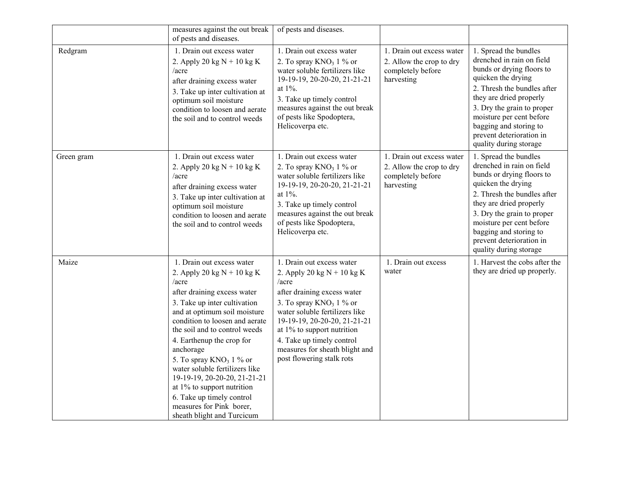|            | measures against the out break<br>of pests and diseases.                                                                                                                                                                                                                                                                                                                                                                                                                                               | of pests and diseases.                                                                                                                                                                                                                                                                                                           |                                                                                          |                                                                                                                                                                                                                                                                                                           |
|------------|--------------------------------------------------------------------------------------------------------------------------------------------------------------------------------------------------------------------------------------------------------------------------------------------------------------------------------------------------------------------------------------------------------------------------------------------------------------------------------------------------------|----------------------------------------------------------------------------------------------------------------------------------------------------------------------------------------------------------------------------------------------------------------------------------------------------------------------------------|------------------------------------------------------------------------------------------|-----------------------------------------------------------------------------------------------------------------------------------------------------------------------------------------------------------------------------------------------------------------------------------------------------------|
| Redgram    | 1. Drain out excess water<br>2. Apply 20 kg $N + 10$ kg K<br>/acre<br>after draining excess water<br>3. Take up inter cultivation at<br>optimum soil moisture<br>condition to loosen and aerate<br>the soil and to control weeds                                                                                                                                                                                                                                                                       | 1. Drain out excess water<br>2. To spray $KNO_3$ 1 % or<br>water soluble fertilizers like<br>19-19-19, 20-20-20, 21-21-21<br>at $1\%$ .<br>3. Take up timely control<br>measures against the out break<br>of pests like Spodoptera,<br>Helicoverpa etc.                                                                          | 1. Drain out excess water<br>2. Allow the crop to dry<br>completely before<br>harvesting | 1. Spread the bundles<br>drenched in rain on field<br>bunds or drying floors to<br>quicken the drying<br>2. Thresh the bundles after<br>they are dried properly<br>3. Dry the grain to proper<br>moisture per cent before<br>bagging and storing to<br>prevent deterioration in<br>quality during storage |
| Green gram | 1. Drain out excess water<br>2. Apply 20 kg $N + 10$ kg K<br>$/$ acre<br>after draining excess water<br>3. Take up inter cultivation at<br>optimum soil moisture<br>condition to loosen and aerate<br>the soil and to control weeds                                                                                                                                                                                                                                                                    | 1. Drain out excess water<br>2. To spray $KNO3 1$ % or<br>water soluble fertilizers like<br>19-19-19, 20-20-20, 21-21-21<br>at 1%.<br>3. Take up timely control<br>measures against the out break<br>of pests like Spodoptera,<br>Helicoverpa etc.                                                                               | 1. Drain out excess water<br>2. Allow the crop to dry<br>completely before<br>harvesting | 1. Spread the bundles<br>drenched in rain on field<br>bunds or drying floors to<br>quicken the drying<br>2. Thresh the bundles after<br>they are dried properly<br>3. Dry the grain to proper<br>moisture per cent before<br>bagging and storing to<br>prevent deterioration in<br>quality during storage |
| Maize      | 1. Drain out excess water<br>2. Apply 20 kg $N + 10$ kg K<br>$/$ acre<br>after draining excess water<br>3. Take up inter cultivation<br>and at optimum soil moisture<br>condition to loosen and aerate<br>the soil and to control weeds<br>4. Earthenup the crop for<br>anchorage<br>5. To spray $KNO_3$ 1 % or<br>water soluble fertilizers like<br>19-19-19, 20-20-20, 21-21-21<br>at 1% to support nutrition<br>6. Take up timely control<br>measures for Pink borer,<br>sheath blight and Turcicum | 1. Drain out excess water<br>2. Apply 20 kg $N + 10$ kg K<br>$/$ acre<br>after draining excess water<br>3. To spray $KNO3 1$ % or<br>water soluble fertilizers like<br>19-19-19, 20-20-20, 21-21-21<br>at $1\%$ to support nutrition<br>4. Take up timely control<br>measures for sheath blight and<br>post flowering stalk rots | 1. Drain out excess<br>water                                                             | 1. Harvest the cobs after the<br>they are dried up properly.                                                                                                                                                                                                                                              |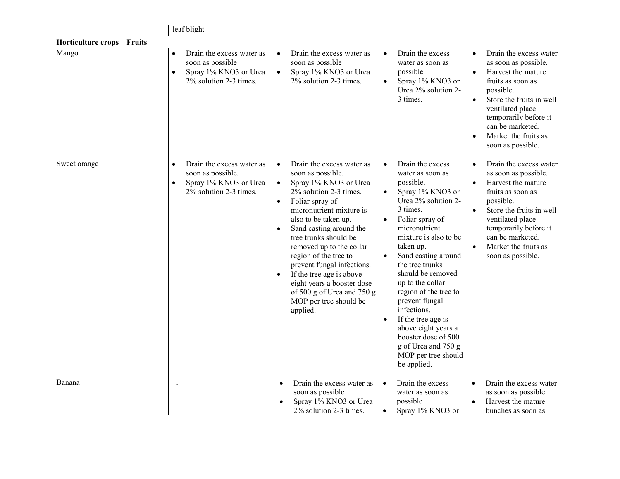|                                    | leaf blight                                                                                                                 |                                                                                                                                                                                                                                                                                                                                                                                                                                                                                      |                                                                                                                                                                                                                                                                                                                                                                                                                                                                                                                                   |                                                                                                                                                                                                                                                                                                      |
|------------------------------------|-----------------------------------------------------------------------------------------------------------------------------|--------------------------------------------------------------------------------------------------------------------------------------------------------------------------------------------------------------------------------------------------------------------------------------------------------------------------------------------------------------------------------------------------------------------------------------------------------------------------------------|-----------------------------------------------------------------------------------------------------------------------------------------------------------------------------------------------------------------------------------------------------------------------------------------------------------------------------------------------------------------------------------------------------------------------------------------------------------------------------------------------------------------------------------|------------------------------------------------------------------------------------------------------------------------------------------------------------------------------------------------------------------------------------------------------------------------------------------------------|
| <b>Horticulture crops - Fruits</b> |                                                                                                                             |                                                                                                                                                                                                                                                                                                                                                                                                                                                                                      |                                                                                                                                                                                                                                                                                                                                                                                                                                                                                                                                   |                                                                                                                                                                                                                                                                                                      |
| Mango                              | Drain the excess water as<br>$\bullet$<br>soon as possible<br>Spray 1% KNO3 or Urea<br>$\bullet$<br>2% solution 2-3 times.  | Drain the excess water as<br>$\bullet$<br>soon as possible<br>Spray 1% KNO3 or Urea<br>$\bullet$<br>2% solution 2-3 times.                                                                                                                                                                                                                                                                                                                                                           | Drain the excess<br>$\bullet$<br>water as soon as<br>possible<br>Spray 1% KNO3 or<br>$\bullet$<br>Urea 2% solution 2-<br>3 times.                                                                                                                                                                                                                                                                                                                                                                                                 | Drain the excess water<br>$\bullet$<br>as soon as possible.<br>Harvest the mature<br>$\bullet$<br>fruits as soon as<br>possible.<br>Store the fruits in well<br>$\bullet$<br>ventilated place<br>temporarily before it<br>can be marketed.<br>Market the fruits as<br>$\bullet$<br>soon as possible. |
| Sweet orange                       | Drain the excess water as<br>$\bullet$<br>soon as possible.<br>Spray 1% KNO3 or Urea<br>$\bullet$<br>2% solution 2-3 times. | Drain the excess water as<br>soon as possible.<br>Spray 1% KNO3 or Urea<br>$\bullet$<br>2% solution 2-3 times.<br>Foliar spray of<br>$\bullet$<br>micronutrient mixture is<br>also to be taken up.<br>Sand casting around the<br>$\bullet$<br>tree trunks should be<br>removed up to the collar<br>region of the tree to<br>prevent fungal infections.<br>If the tree age is above<br>eight years a booster dose<br>of 500 g of Urea and 750 g<br>MOP per tree should be<br>applied. | Drain the excess<br>$\bullet$<br>water as soon as<br>possible.<br>Spray 1% KNO3 or<br>$\bullet$<br>Urea 2% solution 2-<br>3 times.<br>Foliar spray of<br>$\bullet$<br>micronutrient<br>mixture is also to be<br>taken up.<br>Sand casting around<br>$\bullet$<br>the tree trunks<br>should be removed<br>up to the collar<br>region of the tree to<br>prevent fungal<br>infections.<br>If the tree age is<br>$\bullet$<br>above eight years a<br>booster dose of 500<br>g of Urea and 750 g<br>MOP per tree should<br>be applied. | Drain the excess water<br>$\bullet$<br>as soon as possible.<br>Harvest the mature<br>$\bullet$<br>fruits as soon as<br>possible.<br>Store the fruits in well<br>$\bullet$<br>ventilated place<br>temporarily before it<br>can be marketed.<br>Market the fruits as<br>$\bullet$<br>soon as possible. |
| Banana                             |                                                                                                                             | Drain the excess water as<br>$\bullet$<br>soon as possible<br>Spray 1% KNO3 or Urea<br>2% solution 2-3 times.                                                                                                                                                                                                                                                                                                                                                                        | Drain the excess<br>$\bullet$<br>water as soon as<br>possible<br>Spray 1% KNO3 or<br>$\bullet$                                                                                                                                                                                                                                                                                                                                                                                                                                    | Drain the excess water<br>$\bullet$<br>as soon as possible.<br>Harvest the mature<br>bunches as soon as                                                                                                                                                                                              |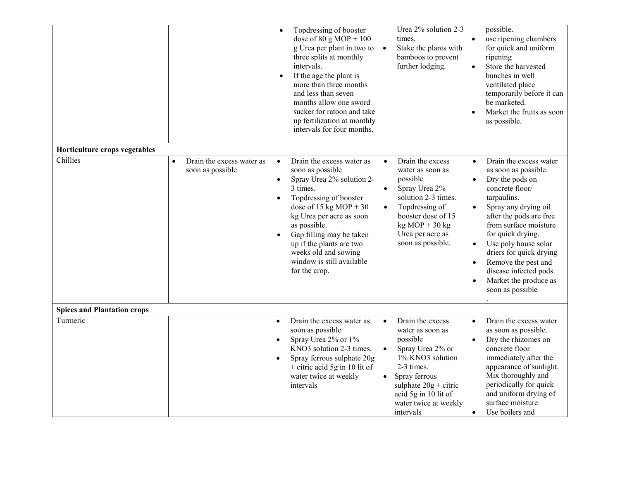|                                           |                                                            | Topdressing of booster<br>$\bullet$<br>dose of 80 g MOP + $100$<br>g Urea per plant in two to<br>three splits at monthly<br>intervals.<br>If the age the plant is<br>$\bullet$<br>more than three months<br>and less than seven<br>months allow one sword<br>sucker for ratoon and take<br>up fertilization at monthly<br>intervals for four months.                     | Urea 2% solution 2-3<br>times.<br>$\bullet$<br>Stake the plants with<br>bamboos to prevent<br>further lodging.                                                                                                                                          | possible.<br>use ripening chambers<br>for quick and uniform<br>ripening<br>Store the harvested<br>$\bullet$<br>bunches in well<br>ventilated place<br>temporarily before it can<br>be marketed.<br>Market the fruits as soon<br>as possible.                                                                                                                                                              |
|-------------------------------------------|------------------------------------------------------------|--------------------------------------------------------------------------------------------------------------------------------------------------------------------------------------------------------------------------------------------------------------------------------------------------------------------------------------------------------------------------|---------------------------------------------------------------------------------------------------------------------------------------------------------------------------------------------------------------------------------------------------------|-----------------------------------------------------------------------------------------------------------------------------------------------------------------------------------------------------------------------------------------------------------------------------------------------------------------------------------------------------------------------------------------------------------|
| Horticulture crops vegetables<br>Chillies | Drain the excess water as<br>$\bullet$<br>soon as possible | Drain the excess water as<br>$\bullet$<br>soon as possible<br>Spray Urea 2% solution 2-<br>$\bullet$<br>3 times.<br>Topdressing of booster<br>$\bullet$<br>dose of 15 kg MOP + 30<br>kg Urea per acre as soon<br>as possible.<br>Gap filling may be taken<br>$\bullet$<br>up if the plants are two<br>weeks old and sowing<br>window is still available<br>for the crop. | Drain the excess<br>$\bullet$<br>water as soon as<br>possible<br>Spray Urea 2%<br>$\bullet$<br>solution 2-3 times.<br>Topdressing of<br>$\bullet$<br>booster dose of 15<br>$kg MOP + 30 kg$<br>Urea per acre as<br>soon as possible.                    | Drain the excess water<br>$\bullet$<br>as soon as possible.<br>Dry the pods on<br>$\bullet$<br>concrete floor/<br>tarpaulins.<br>Spray any drying oil<br>after the pods are free<br>from surface moisture<br>for quick drying.<br>Use poly house solar<br>$\bullet$<br>driers for quick drying<br>Remove the pest and<br>$\bullet$<br>disease infected pods.<br>Market the produce as<br>soon as possible |
| <b>Spices and Plantation crops</b>        |                                                            |                                                                                                                                                                                                                                                                                                                                                                          |                                                                                                                                                                                                                                                         |                                                                                                                                                                                                                                                                                                                                                                                                           |
| Turmeric                                  |                                                            | Drain the excess water as<br>$\bullet$<br>soon as possible<br>Spray Urea 2% or 1%<br>$\bullet$<br>KNO3 solution 2-3 times.<br>Spray ferrous sulphate 20g<br>$\bullet$<br>$+$ citric acid 5g in 10 lit of<br>water twice at weekly<br>intervals                                                                                                                           | Drain the excess<br>$\bullet$<br>water as soon as<br>possible<br>$\bullet$<br>Spray Urea 2% or<br>1% KNO3 solution<br>2-3 times.<br>Spray ferrous<br>$\bullet$<br>sulphate $20g +$ citric<br>acid 5g in 10 lit of<br>water twice at weekly<br>intervals | Drain the excess water<br>$\bullet$<br>as soon as possible.<br>Dry the rhizomes on<br>concrete floor<br>immediately after the<br>appearance of sunlight.<br>Mix thoroughly and<br>periodically for quick<br>and uniform drying of<br>surface moisture.<br>Use boilers and<br>$\bullet$                                                                                                                    |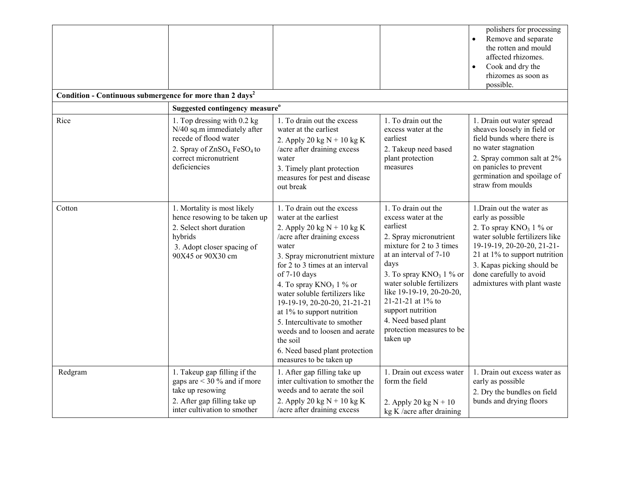|                                                                      |                                                                                                                                                                                    |                                                                                                                                                                                                                                                                                                                                                                                                                                                                                           |                                                                                                                                                                                                                                                                                                                                                 | polishers for processing<br>Remove and separate<br>the rotten and mould<br>affected rhizomes.<br>Cook and dry the<br>rhizomes as soon as<br>possible.                                                                                                                |
|----------------------------------------------------------------------|------------------------------------------------------------------------------------------------------------------------------------------------------------------------------------|-------------------------------------------------------------------------------------------------------------------------------------------------------------------------------------------------------------------------------------------------------------------------------------------------------------------------------------------------------------------------------------------------------------------------------------------------------------------------------------------|-------------------------------------------------------------------------------------------------------------------------------------------------------------------------------------------------------------------------------------------------------------------------------------------------------------------------------------------------|----------------------------------------------------------------------------------------------------------------------------------------------------------------------------------------------------------------------------------------------------------------------|
| Condition - Continuous submergence for more than 2 days <sup>2</sup> | Suggested contingency measure <sup>o</sup>                                                                                                                                         |                                                                                                                                                                                                                                                                                                                                                                                                                                                                                           |                                                                                                                                                                                                                                                                                                                                                 |                                                                                                                                                                                                                                                                      |
| Rice                                                                 | 1. Top dressing with 0.2 kg<br>N/40 sq.m immediately after<br>recede of flood water<br>2. Spray of ZnSO <sub>4</sub> FeSO <sub>4</sub> to<br>correct micronutrient<br>deficiencies | 1. To drain out the excess<br>water at the earliest<br>2. Apply 20 kg $N + 10$ kg K<br>/acre after draining excess<br>water<br>3. Timely plant protection<br>measures for pest and disease<br>out break                                                                                                                                                                                                                                                                                   | 1. To drain out the<br>excess water at the<br>earliest<br>2. Takeup need based<br>plant protection<br>measures                                                                                                                                                                                                                                  | 1. Drain out water spread<br>sheaves loosely in field or<br>field bunds where there is<br>no water stagnation<br>2. Spray common salt at 2%<br>on panicles to prevent<br>germination and spoilage of<br>straw from moulds                                            |
| Cotton                                                               | 1. Mortality is most likely<br>hence resowing to be taken up<br>2. Select short duration<br>hybrids<br>3. Adopt closer spacing of<br>90X45 or 90X30 cm                             | 1. To drain out the excess<br>water at the earliest<br>2. Apply 20 kg $N + 10$ kg K<br>/acre after draining excess<br>water<br>3. Spray micronutrient mixture<br>for 2 to 3 times at an interval<br>of 7-10 days<br>4. To spray $KNO_3$ 1 % or<br>water soluble fertilizers like<br>19-19-19, 20-20-20, 21-21-21<br>at 1% to support nutrition<br>5. Intercultivate to smother<br>weeds and to loosen and aerate<br>the soil<br>6. Need based plant protection<br>measures to be taken up | 1. To drain out the<br>excess water at the<br>earliest<br>2. Spray micronutrient<br>mixture for 2 to 3 times<br>at an interval of 7-10<br>days<br>3. To spray $KNO_3$ 1 % or<br>water soluble fertilizers<br>like 19-19-19, 20-20-20,<br>21-21-21 at 1% to<br>support nutrition<br>4. Need based plant<br>protection measures to be<br>taken up | 1. Drain out the water as<br>early as possible<br>2. To spray $KNO3 1$ % or<br>water soluble fertilizers like<br>19-19-19, 20-20-20, 21-21-<br>21 at 1% to support nutrition<br>3. Kapas picking should be<br>done carefully to avoid<br>admixtures with plant waste |
| Redgram                                                              | 1. Takeup gap filling if the<br>gaps are $<$ 30 % and if more<br>take up resowing<br>2. After gap filling take up<br>inter cultivation to smother                                  | 1. After gap filling take up<br>inter cultivation to smother the<br>weeds and to aerate the soil<br>2. Apply 20 kg $N + 10$ kg K<br>/acre after draining excess                                                                                                                                                                                                                                                                                                                           | 1. Drain out excess water<br>form the field<br>2. Apply 20 kg $N + 10$<br>$kg K/acre$ after draining                                                                                                                                                                                                                                            | 1. Drain out excess water as<br>early as possible<br>2. Dry the bundles on field<br>bunds and drying floors                                                                                                                                                          |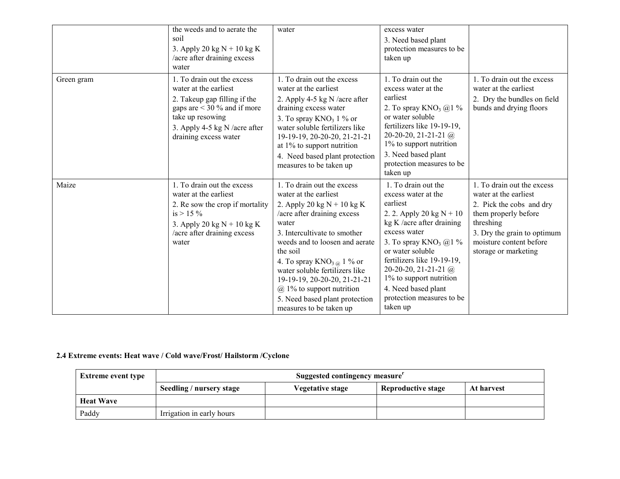|            | the weeds and to aerate the<br>soil<br>3. Apply 20 kg $N + 10$ kg K<br>/acre after draining excess<br>water                                                                                        | water                                                                                                                                                                                                                                                                                                                                                                                                              | excess water<br>3. Need based plant<br>protection measures to be<br>taken up                                                                                                                                                                                                                                                               |                                                                                                                                                                                                        |
|------------|----------------------------------------------------------------------------------------------------------------------------------------------------------------------------------------------------|--------------------------------------------------------------------------------------------------------------------------------------------------------------------------------------------------------------------------------------------------------------------------------------------------------------------------------------------------------------------------------------------------------------------|--------------------------------------------------------------------------------------------------------------------------------------------------------------------------------------------------------------------------------------------------------------------------------------------------------------------------------------------|--------------------------------------------------------------------------------------------------------------------------------------------------------------------------------------------------------|
| Green gram | 1. To drain out the excess<br>water at the earliest<br>2. Takeup gap filling if the<br>gaps are $<$ 30 % and if more<br>take up resowing<br>3. Apply 4-5 kg N /acre after<br>draining excess water | 1. To drain out the excess<br>water at the earliest<br>2. Apply 4-5 kg N /acre after<br>draining excess water<br>3. To spray $KNO_3$ 1 % or<br>water soluble fertilizers like<br>19-19-19, 20-20-20, 21-21-21<br>at $1\%$ to support nutrition<br>4. Need based plant protection<br>measures to be taken up                                                                                                        | 1. To drain out the<br>excess water at the<br>earliest<br>2. To spray $KNO_3$ @1 %<br>or water soluble<br>fertilizers like 19-19-19,<br>20-20-20, 21-21-21 $@$<br>1% to support nutrition<br>3. Need based plant<br>protection measures to be<br>taken up                                                                                  | 1. To drain out the excess<br>water at the earliest<br>2. Dry the bundles on field<br>bunds and drying floors                                                                                          |
| Maize      | 1. To drain out the excess<br>water at the earliest<br>2. Re sow the crop if mortality<br>is $> 15 \%$<br>3. Apply 20 kg $N + 10$ kg K<br>/acre after draining excess<br>water                     | 1. To drain out the excess<br>water at the earliest<br>2. Apply 20 kg $N + 10$ kg K<br>/acre after draining excess<br>water<br>3. Intercultivate to smother<br>weeds and to loosen and aerate<br>the soil<br>4. To spray $KNO_{3\alpha}$ 1 % or<br>water soluble fertilizers like<br>19-19-19, 20-20-20, 21-21-21<br>$\omega$ 1% to support nutrition<br>5. Need based plant protection<br>measures to be taken up | 1. To drain out the<br>excess water at the<br>earliest<br>2. 2. Apply 20 kg $N + 10$<br>kg K /acre after draining<br>excess water<br>3. To spray $KNO_3$ ( $a)$ 1 %<br>or water soluble<br>fertilizers like 19-19-19,<br>20-20-20, 21-21-21 $@$<br>1% to support nutrition<br>4. Need based plant<br>protection measures to be<br>taken up | 1. To drain out the excess<br>water at the earliest<br>2. Pick the cobs and dry<br>them properly before<br>threshing<br>3. Dry the grain to optimum<br>moisture content before<br>storage or marketing |

### 2.4 Extreme events: Heat wave / Cold wave/Frost/ Hailstorm /Cyclone

| <b>Extreme event type</b> | Suggested contingency measure <sup>r</sup>                                              |  |  |  |
|---------------------------|-----------------------------------------------------------------------------------------|--|--|--|
|                           | Seedling / nursery stage<br><b>Reproductive stage</b><br>Vegetative stage<br>At harvest |  |  |  |
| <b>Heat Wave</b>          |                                                                                         |  |  |  |
| Paddy                     | Irrigation in early hours                                                               |  |  |  |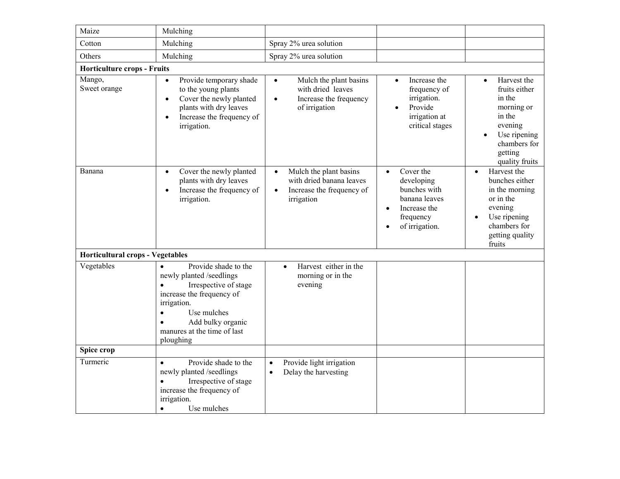| Maize                                   | Mulching                                                                                                                                                                                                                                                  |                                                                                                                         |                                                                                                                                                |                                                                                                                                                     |
|-----------------------------------------|-----------------------------------------------------------------------------------------------------------------------------------------------------------------------------------------------------------------------------------------------------------|-------------------------------------------------------------------------------------------------------------------------|------------------------------------------------------------------------------------------------------------------------------------------------|-----------------------------------------------------------------------------------------------------------------------------------------------------|
| Cotton                                  | Mulching                                                                                                                                                                                                                                                  | Spray 2% urea solution                                                                                                  |                                                                                                                                                |                                                                                                                                                     |
| Others                                  | Mulching                                                                                                                                                                                                                                                  | Spray 2% urea solution                                                                                                  |                                                                                                                                                |                                                                                                                                                     |
| <b>Horticulture crops - Fruits</b>      |                                                                                                                                                                                                                                                           |                                                                                                                         |                                                                                                                                                |                                                                                                                                                     |
| Mango,<br>Sweet orange                  | Provide temporary shade<br>$\bullet$<br>to the young plants<br>Cover the newly planted<br>$\bullet$<br>plants with dry leaves<br>Increase the frequency of<br>$\bullet$<br>irrigation.                                                                    | Mulch the plant basins<br>$\bullet$<br>with dried leaves<br>Increase the frequency<br>$\bullet$<br>of irrigation        | Increase the<br>$\bullet$<br>frequency of<br>irrigation.<br>Provide<br>irrigation at<br>critical stages                                        | Harvest the<br>$\bullet$<br>fruits either<br>in the<br>morning or<br>in the<br>evening<br>Use ripening<br>chambers for<br>getting<br>quality fruits |
| Banana                                  | Cover the newly planted<br>$\bullet$<br>plants with dry leaves<br>Increase the frequency of<br>$\bullet$<br>irrigation.                                                                                                                                   | Mulch the plant basins<br>$\bullet$<br>with dried banana leaves<br>Increase the frequency of<br>$\bullet$<br>irrigation | Cover the<br>$\bullet$<br>developing<br>bunches with<br>banana leaves<br>Increase the<br>$\bullet$<br>frequency<br>of irrigation.<br>$\bullet$ | Harvest the<br>$\bullet$<br>bunches either<br>in the morning<br>or in the<br>evening<br>Use ripening<br>chambers for<br>getting quality<br>fruits   |
| <b>Horticultural crops - Vegetables</b> |                                                                                                                                                                                                                                                           |                                                                                                                         |                                                                                                                                                |                                                                                                                                                     |
| Vegetables                              | Provide shade to the<br>$\bullet$<br>newly planted /seedlings<br>Irrespective of stage<br>$\bullet$<br>increase the frequency of<br>irrigation.<br>Use mulches<br>$\bullet$<br>Add bulky organic<br>$\bullet$<br>manures at the time of last<br>ploughing | Harvest either in the<br>$\bullet$<br>morning or in the<br>evening                                                      |                                                                                                                                                |                                                                                                                                                     |
| Spice crop                              |                                                                                                                                                                                                                                                           |                                                                                                                         |                                                                                                                                                |                                                                                                                                                     |
| Turmeric                                | Provide shade to the<br>$\bullet$<br>newly planted /seedlings<br>Irrespective of stage<br>$\bullet$<br>increase the frequency of<br>irrigation.<br>Use mulches<br>$\bullet$                                                                               | Provide light irrigation<br>$\bullet$<br>Delay the harvesting<br>$\bullet$                                              |                                                                                                                                                |                                                                                                                                                     |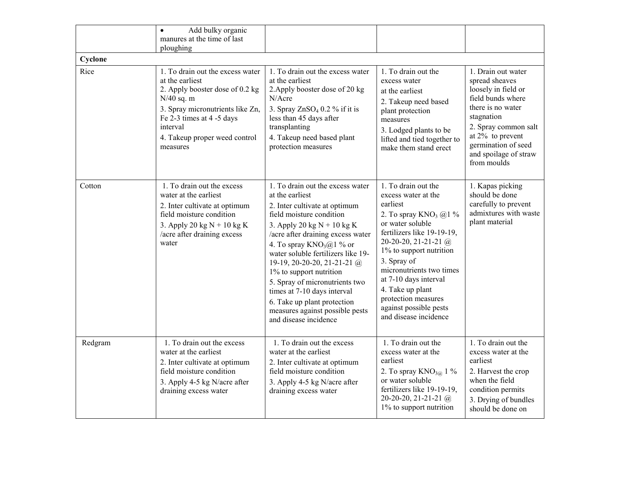|                 | Add bulky organic<br>$\bullet$<br>manures at the time of last<br>ploughing                                                                                                                                                       |                                                                                                                                                                                                                                                                                                                                                                                                                                                                                  |                                                                                                                                                                                                                                                                                                                                                             |                                                                                                                                                                                                                                   |
|-----------------|----------------------------------------------------------------------------------------------------------------------------------------------------------------------------------------------------------------------------------|----------------------------------------------------------------------------------------------------------------------------------------------------------------------------------------------------------------------------------------------------------------------------------------------------------------------------------------------------------------------------------------------------------------------------------------------------------------------------------|-------------------------------------------------------------------------------------------------------------------------------------------------------------------------------------------------------------------------------------------------------------------------------------------------------------------------------------------------------------|-----------------------------------------------------------------------------------------------------------------------------------------------------------------------------------------------------------------------------------|
| Cyclone<br>Rice | 1. To drain out the excess water<br>at the earliest<br>2. Apply booster dose of 0.2 kg<br>$N/40$ sq. m<br>3. Spray micronutrients like Zn,<br>Fe 2-3 times at 4 -5 days<br>interval<br>4. Takeup proper weed control<br>measures | 1. To drain out the excess water<br>at the earliest<br>2. Apply booster dose of 20 kg<br>N/Acre<br>3. Spray $ZnSO4 0.2 %$ if it is<br>less than 45 days after<br>transplanting<br>4. Takeup need based plant<br>protection measures                                                                                                                                                                                                                                              | 1. To drain out the<br>excess water<br>at the earliest<br>2. Takeup need based<br>plant protection<br>measures<br>3. Lodged plants to be<br>lifted and tied together to<br>make them stand erect                                                                                                                                                            | 1. Drain out water<br>spread sheaves<br>loosely in field or<br>field bunds where<br>there is no water<br>stagnation<br>2. Spray common salt<br>at $2\%$ to prevent<br>germination of seed<br>and spoilage of straw<br>from moulds |
| Cotton          | 1. To drain out the excess<br>water at the earliest<br>2. Inter cultivate at optimum<br>field moisture condition<br>3. Apply 20 kg $N + 10$ kg K<br>/acre after draining excess<br>water                                         | 1. To drain out the excess water<br>at the earliest<br>2. Inter cultivate at optimum<br>field moisture condition<br>3. Apply 20 kg $N + 10$ kg K<br>/acre after draining excess water<br>4. To spray $KNO_3(a)$ % or<br>water soluble fertilizers like 19-<br>19-19, 20-20-20, 21-21-21 @<br>1% to support nutrition<br>5. Spray of micronutrients two<br>times at 7-10 days interval<br>6. Take up plant protection<br>measures against possible pests<br>and disease incidence | 1. To drain out the<br>excess water at the<br>earliest<br>2. To spray $KNO_3$ @1 %<br>or water soluble<br>fertilizers like 19-19-19,<br>20-20-20, 21-21-21 $@$<br>1% to support nutrition<br>3. Spray of<br>micronutrients two times<br>at 7-10 days interval<br>4. Take up plant<br>protection measures<br>against possible pests<br>and disease incidence | 1. Kapas picking<br>should be done<br>carefully to prevent<br>admixtures with waste<br>plant material                                                                                                                             |
| Redgram         | 1. To drain out the excess<br>water at the earliest<br>2. Inter cultivate at optimum<br>field moisture condition<br>3. Apply 4-5 kg N/acre after<br>draining excess water                                                        | 1. To drain out the excess<br>water at the earliest<br>2. Inter cultivate at optimum<br>field moisture condition<br>3. Apply 4-5 kg N/acre after<br>draining excess water                                                                                                                                                                                                                                                                                                        | 1. To drain out the<br>excess water at the<br>earliest<br>2. To spray $KNO_{3\textcircled{a}}$ 1 %<br>or water soluble<br>fertilizers like 19-19-19,<br>20-20-20, 21-21-21 $@$<br>1% to support nutrition                                                                                                                                                   | 1. To drain out the<br>excess water at the<br>earliest<br>2. Harvest the crop<br>when the field<br>condition permits<br>3. Drying of bundles<br>should be done on                                                                 |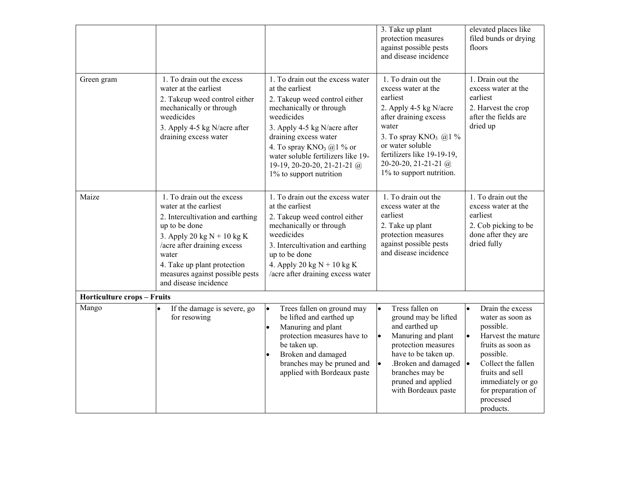|                                    |                                                                                                                                                                                                                                                                             |                                                                                                                                                                                                                                                                                                                            | 3. Take up plant<br>protection measures<br>against possible pests<br>and disease incidence                                                                                                                                                             | elevated places like<br>filed bunds or drying<br>floors                                                                                                                                                                                                 |
|------------------------------------|-----------------------------------------------------------------------------------------------------------------------------------------------------------------------------------------------------------------------------------------------------------------------------|----------------------------------------------------------------------------------------------------------------------------------------------------------------------------------------------------------------------------------------------------------------------------------------------------------------------------|--------------------------------------------------------------------------------------------------------------------------------------------------------------------------------------------------------------------------------------------------------|---------------------------------------------------------------------------------------------------------------------------------------------------------------------------------------------------------------------------------------------------------|
| Green gram                         | 1. To drain out the excess<br>water at the earliest<br>2. Takeup weed control either<br>mechanically or through<br>weedicides<br>3. Apply 4-5 kg N/acre after<br>draining excess water                                                                                      | 1. To drain out the excess water<br>at the earliest<br>2. Takeup weed control either<br>mechanically or through<br>weedicides<br>3. Apply 4-5 kg N/acre after<br>draining excess water<br>4. To spray $KNO_3$ (a) 1 % or<br>water soluble fertilizers like 19-<br>19-19, 20-20-20, 21-21-21 $@$<br>1% to support nutrition | 1. To drain out the<br>excess water at the<br>earliest<br>2. Apply 4-5 kg N/acre<br>after draining excess<br>water<br>3. To spray $KNO_3$ @1 %<br>or water soluble<br>fertilizers like 19-19-19,<br>20-20-20, 21-21-21 $@$<br>1% to support nutrition. | 1. Drain out the<br>excess water at the<br>earliest<br>2. Harvest the crop<br>after the fields are<br>dried up                                                                                                                                          |
| Maize                              | 1. To drain out the excess<br>water at the earliest<br>2. Intercultivation and earthing<br>up to be done<br>3. Apply 20 kg $N + 10$ kg K<br>/acre after draining excess<br>water<br>4. Take up plant protection<br>measures against possible pests<br>and disease incidence | 1. To drain out the excess water<br>at the earliest<br>2. Takeup weed control either<br>mechanically or through<br>weedicides<br>3. Intercultivation and earthing<br>up to be done<br>4. Apply 20 kg $N + 10$ kg K<br>/acre after draining excess water                                                                    | 1. To drain out the<br>excess water at the<br>earliest<br>2. Take up plant<br>protection measures<br>against possible pests<br>and disease incidence                                                                                                   | 1. To drain out the<br>excess water at the<br>earliest<br>2. Cob picking to be<br>done after they are<br>dried fully                                                                                                                                    |
| <b>Horticulture crops - Fruits</b> |                                                                                                                                                                                                                                                                             |                                                                                                                                                                                                                                                                                                                            |                                                                                                                                                                                                                                                        |                                                                                                                                                                                                                                                         |
| Mango                              | If the damage is severe, go<br>for resowing                                                                                                                                                                                                                                 | Trees fallen on ground may<br>be lifted and earthed up<br>Manuring and plant<br>$\bullet$<br>protection measures have to<br>be taken up.<br>Broken and damaged<br>branches may be pruned and<br>applied with Bordeaux paste                                                                                                | Tress fallen on<br>I۰<br>ground may be lifted<br>and earthed up<br>Manuring and plant<br>I۰<br>protection measures<br>have to be taken up.<br>.Broken and damaged<br>$\bullet$<br>branches may be<br>pruned and applied<br>with Bordeaux paste         | Drain the excess<br>$\bullet$<br>water as soon as<br>possible.<br>Harvest the mature<br>$\bullet$<br>fruits as soon as<br>possible.<br>Collect the fallen<br>l.<br>fruits and sell<br>immediately or go<br>for preparation of<br>processed<br>products. |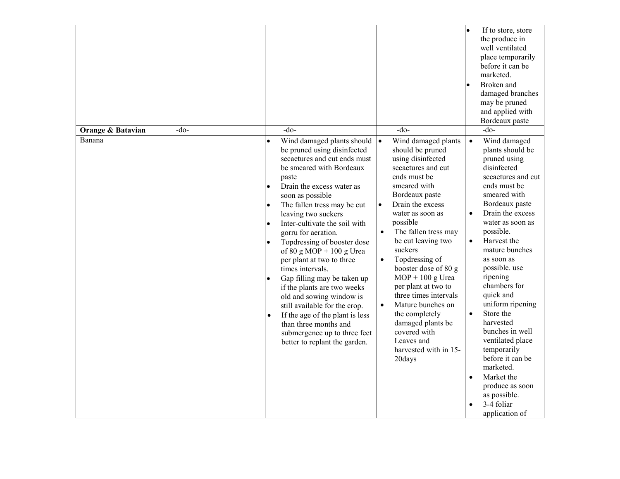| Orange & Batavian | -do- | $-do-$                                                                                                                                                                                                                                                                                                                                                                                                                                                                                                                                                                                                                                                                                                            | $-do-$                                                                                                                                                                                                                                                                                                                                                                                                                                                                                                                      | If to store, store<br>the produce in<br>well ventilated<br>place temporarily<br>before it can be<br>marketed.<br>Broken and<br>$\bullet$<br>damaged branches<br>may be pruned<br>and applied with<br>Bordeaux paste<br>$-do-$                                                                                                                                                                                                                                                                                                                                   |
|-------------------|------|-------------------------------------------------------------------------------------------------------------------------------------------------------------------------------------------------------------------------------------------------------------------------------------------------------------------------------------------------------------------------------------------------------------------------------------------------------------------------------------------------------------------------------------------------------------------------------------------------------------------------------------------------------------------------------------------------------------------|-----------------------------------------------------------------------------------------------------------------------------------------------------------------------------------------------------------------------------------------------------------------------------------------------------------------------------------------------------------------------------------------------------------------------------------------------------------------------------------------------------------------------------|-----------------------------------------------------------------------------------------------------------------------------------------------------------------------------------------------------------------------------------------------------------------------------------------------------------------------------------------------------------------------------------------------------------------------------------------------------------------------------------------------------------------------------------------------------------------|
| Banana            |      | Wind damaged plants should $\vert \bullet \vert$                                                                                                                                                                                                                                                                                                                                                                                                                                                                                                                                                                                                                                                                  | Wind damaged plants                                                                                                                                                                                                                                                                                                                                                                                                                                                                                                         | Wind damaged<br>$\bullet$                                                                                                                                                                                                                                                                                                                                                                                                                                                                                                                                       |
|                   |      | be pruned using disinfected<br>secaetures and cut ends must<br>be smeared with Bordeaux<br>paste<br>Drain the excess water as<br>$\bullet$<br>soon as possible<br>The fallen tress may be cut<br>$\bullet$<br>leaving two suckers<br>Inter-cultivate the soil with<br>$\bullet$<br>gorru for aeration.<br>Topdressing of booster dose<br>$\bullet$<br>of 80 g MOP + 100 g Urea<br>per plant at two to three<br>times intervals.<br>Gap filling may be taken up<br>$\bullet$<br>if the plants are two weeks<br>old and sowing window is<br>still available for the crop.<br>If the age of the plant is less<br>$\bullet$<br>than three months and<br>submergence up to three feet<br>better to replant the garden. | should be pruned<br>using disinfected<br>secaetures and cut<br>ends must be<br>smeared with<br>Bordeaux paste<br>Drain the excess<br>$\bullet$<br>water as soon as<br>possible<br>$\bullet$<br>The fallen tress may<br>be cut leaving two<br>suckers<br>Topdressing of<br>$\bullet$<br>booster dose of 80 g<br>$MOP + 100$ g Urea<br>per plant at two to<br>three times intervals<br>Mature bunches on<br>$\bullet$<br>the completely<br>damaged plants be<br>covered with<br>Leaves and<br>harvested with in 15-<br>20days | plants should be<br>pruned using<br>disinfected<br>secaetures and cut<br>ends must be<br>smeared with<br>Bordeaux paste<br>$\bullet$<br>Drain the excess<br>water as soon as<br>possible.<br>Harvest the<br>$\bullet$<br>mature bunches<br>as soon as<br>possible. use<br>ripening<br>chambers for<br>quick and<br>uniform ripening<br>$\bullet$<br>Store the<br>harvested<br>bunches in well<br>ventilated place<br>temporarily<br>before it can be<br>marketed.<br>Market the<br>$\bullet$<br>produce as soon<br>as possible.<br>3-4 foliar<br>application of |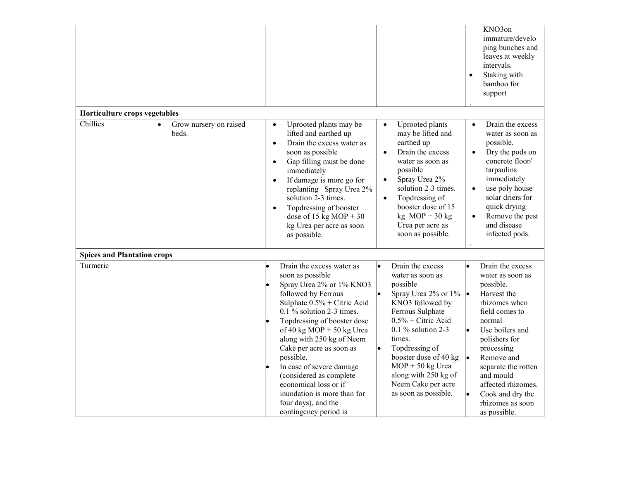|                                    |                                 |                                                                                                                                                                                                                                                                                                                                                                                                                                                                   |                                                                                                                                                                                                                                                                                                                                      | KNO3on<br>immature/develo<br>ping bunches and<br>leaves at weekly<br>intervals.<br>$\bullet$<br>Staking with<br>bamboo for<br>support                                                                                                                                                                                     |
|------------------------------------|---------------------------------|-------------------------------------------------------------------------------------------------------------------------------------------------------------------------------------------------------------------------------------------------------------------------------------------------------------------------------------------------------------------------------------------------------------------------------------------------------------------|--------------------------------------------------------------------------------------------------------------------------------------------------------------------------------------------------------------------------------------------------------------------------------------------------------------------------------------|---------------------------------------------------------------------------------------------------------------------------------------------------------------------------------------------------------------------------------------------------------------------------------------------------------------------------|
| Horticulture crops vegetables      |                                 |                                                                                                                                                                                                                                                                                                                                                                                                                                                                   |                                                                                                                                                                                                                                                                                                                                      |                                                                                                                                                                                                                                                                                                                           |
| Chillies                           | Grow nursery on raised<br>beds. | Uprooted plants may be<br>$\bullet$<br>lifted and earthed up<br>Drain the excess water as<br>$\bullet$<br>soon as possible<br>Gap filling must be done<br>$\bullet$<br>immediately<br>If damage is more go for<br>$\bullet$<br>replanting Spray Urea 2%<br>solution 2-3 times.<br>Topdressing of booster<br>$\bullet$<br>dose of 15 kg MOP + 30<br>kg Urea per acre as soon<br>as possible.                                                                       | Uprooted plants<br>$\bullet$<br>may be lifted and<br>earthed up<br>Drain the excess<br>water as soon as<br>possible<br>Spray Urea 2%<br>$\bullet$<br>solution 2-3 times.<br>Topdressing of<br>$\bullet$<br>booster dose of 15<br>$kg \text{MOP} + 30 \text{ kg}$<br>Urea per acre as<br>soon as possible.                            | Drain the excess<br>$\bullet$<br>water as soon as<br>possible.<br>Dry the pods on<br>concrete floor/<br>tarpaulins<br>immediately<br>use poly house<br>solar driers for<br>quick drying<br>Remove the pest<br>$\bullet$<br>and disease<br>infected pods.                                                                  |
| <b>Spices and Plantation crops</b> |                                 |                                                                                                                                                                                                                                                                                                                                                                                                                                                                   |                                                                                                                                                                                                                                                                                                                                      |                                                                                                                                                                                                                                                                                                                           |
| Turmeric                           |                                 | Drain the excess water as<br>soon as possible<br>Spray Urea 2% or 1% KNO3<br>followed by Ferrous<br>Sulphate $0.5%$ + Citric Acid<br>$0.1\%$ solution 2-3 times.<br>Topdressing of booster dose<br>of 40 kg MOP + 50 kg Urea<br>along with 250 kg of Neem<br>Cake per acre as soon as<br>possible.<br>In case of severe damage<br>(considered as complete<br>economical loss or if<br>inundation is more than for<br>four days), and the<br>contingency period is | Drain the excess<br>۱o<br>water as soon as<br>possible<br>Spray Urea 2% or 1%<br>KNO3 followed by<br>Ferrous Sulphate<br>$0.5\%$ + Citric Acid<br>$0.1\%$ solution 2-3<br>times.<br>Topdressing of<br>$\bullet$<br>booster dose of 40 kg<br>$MOP + 50$ kg Urea<br>along with 250 kg of<br>Neem Cake per acre<br>as soon as possible. | Drain the excess<br>$\bullet$<br>water as soon as<br>possible.<br>Harvest the<br><b>le</b><br>rhizomes when<br>field comes to<br>normal<br>Use boilers and<br>polishers for<br>processing<br>Remove and<br>separate the rotten<br>and mould<br>affected rhizomes.<br>Cook and dry the<br>rhizomes as soon<br>as possible. |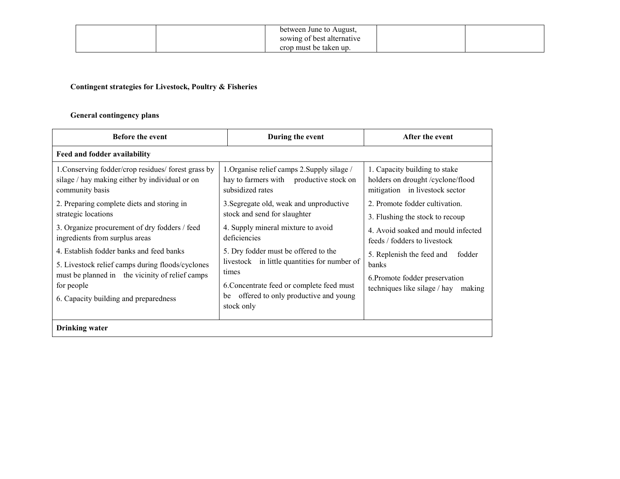| between June to August,    |  |
|----------------------------|--|
| sowing of best alternative |  |
| crop must be taken up.     |  |

#### Contingent strategies for Livestock, Poultry & Fisheries

#### General contingency plans

| <b>Before the event</b>                                                                                                                                                                                |    | During the event                                                                                                                                                                                 | After the event                                                                                                       |  |
|--------------------------------------------------------------------------------------------------------------------------------------------------------------------------------------------------------|----|--------------------------------------------------------------------------------------------------------------------------------------------------------------------------------------------------|-----------------------------------------------------------------------------------------------------------------------|--|
| Feed and fodder availability                                                                                                                                                                           |    |                                                                                                                                                                                                  |                                                                                                                       |  |
| 1. Conserving fodder/crop residues/ forest grass by<br>silage / hay making either by individual or on<br>community basis                                                                               |    | 1. Organise relief camps 2. Supply silage /<br>hay to farmers with productive stock on<br>subsidized rates                                                                                       | 1. Capacity building to stake<br>holders on drought / cyclone/flood<br>mitigation in livestock sector                 |  |
| 2. Preparing complete diets and storing in<br>strategic locations                                                                                                                                      |    | 3. Segregate old, weak and unproductive<br>stock and send for slaughter                                                                                                                          | 2. Promote fodder cultivation.<br>3. Flushing the stock to recoup                                                     |  |
| 3. Organize procurement of dry fodders / feed<br>ingredients from surplus areas                                                                                                                        |    | 4. Supply mineral mixture to avoid<br>deficiencies                                                                                                                                               | 4. Avoid soaked and mould infected<br>feeds / fodders to livestock                                                    |  |
| 4. Establish fodder banks and feed banks<br>5. Livestock relief camps during floods/cyclones<br>must be planned in the vicinity of relief camps<br>for people<br>6. Capacity building and preparedness | be | 5. Dry fodder must be offered to the<br>livestock in little quantities for number of<br>times<br>6. Concentrate feed or complete feed must<br>offered to only productive and young<br>stock only | 5. Replenish the feed and<br>fodder<br>banks<br>6. Promote fodder preservation<br>techniques like silage / hay making |  |
| <b>Drinking</b> water                                                                                                                                                                                  |    |                                                                                                                                                                                                  |                                                                                                                       |  |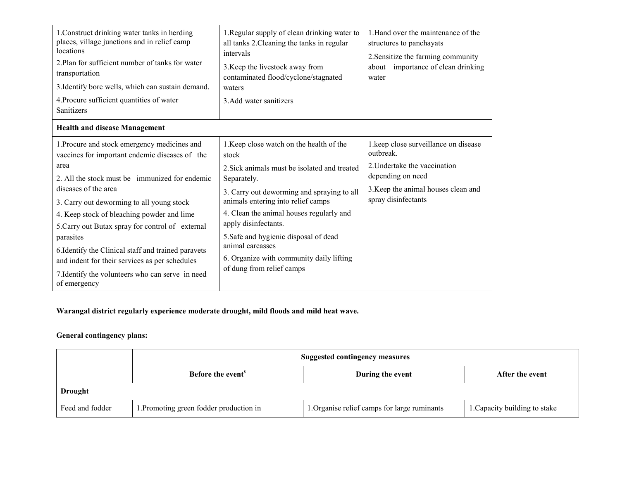| 1. Construct drinking water tanks in herding<br>places, village junctions and in relief camp<br>locations<br>2. Plan for sufficient number of tanks for water<br>transportation<br>3. Identify bore wells, which can sustain demand.<br>4. Procure sufficient quantities of water<br>Sanitizers                                                                                                                                                                                                                           | 1. Regular supply of clean drinking water to<br>all tanks 2. Cleaning the tanks in regular<br>intervals<br>3. Keep the livestock away from<br>contaminated flood/cyclone/stagnated<br>waters<br>3. Add water sanitizers                                                                                                                                                                                        | 1. Hand over the maintenance of the<br>structures to panchayats<br>2. Sensitize the farming community<br>about importance of clean drinking<br>water                 |
|---------------------------------------------------------------------------------------------------------------------------------------------------------------------------------------------------------------------------------------------------------------------------------------------------------------------------------------------------------------------------------------------------------------------------------------------------------------------------------------------------------------------------|----------------------------------------------------------------------------------------------------------------------------------------------------------------------------------------------------------------------------------------------------------------------------------------------------------------------------------------------------------------------------------------------------------------|----------------------------------------------------------------------------------------------------------------------------------------------------------------------|
| <b>Health and disease Management</b>                                                                                                                                                                                                                                                                                                                                                                                                                                                                                      |                                                                                                                                                                                                                                                                                                                                                                                                                |                                                                                                                                                                      |
| 1. Procure and stock emergency medicines and<br>vaccines for important endemic diseases of the<br>area<br>2. All the stock must be immunized for endemic<br>diseases of the area<br>3. Carry out deworming to all young stock<br>4. Keep stock of bleaching powder and lime<br>5. Carry out Butax spray for control of external<br>parasites<br>6. Identify the Clinical staff and trained paravets<br>and indent for their services as per schedules<br>7. Identify the volunteers who can serve in need<br>of emergency | 1. Keep close watch on the health of the<br>stock<br>2. Sick animals must be isolated and treated<br>Separately.<br>3. Carry out deworming and spraying to all<br>animals entering into relief camps<br>4. Clean the animal houses regularly and<br>apply disinfectants.<br>5. Safe and hygienic disposal of dead<br>animal carcasses<br>6. Organize with community daily lifting<br>of dung from relief camps | 1.keep close surveillance on disease<br>outbreak.<br>2. Undertake the vaccination<br>depending on need<br>3. Keep the animal houses clean and<br>spray disinfectants |

### Warangal district regularly experience moderate drought, mild floods and mild heat wave.

#### General contingency plans:

|                 | <b>Suggested contingency measures</b>   |                                              |                               |
|-----------------|-----------------------------------------|----------------------------------------------|-------------------------------|
|                 | Before the event <sup>8</sup>           | During the event                             | After the event               |
| <b>Drought</b>  |                                         |                                              |                               |
| Feed and fodder | 1. Promoting green fodder production in | 1. Organise relief camps for large ruminants | 1. Capacity building to stake |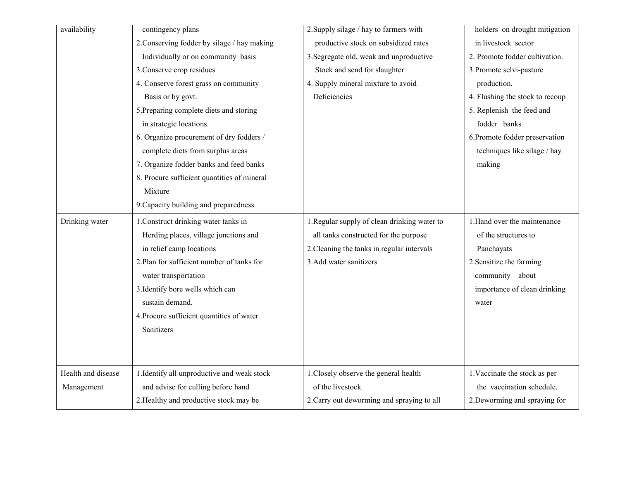| availability       | contingency plans                           | 2. Supply silage / hay to farmers with       | holders on drought mitigation   |
|--------------------|---------------------------------------------|----------------------------------------------|---------------------------------|
|                    | 2. Conserving fodder by silage / hay making | productive stock on subsidized rates         | in livestock sector             |
|                    | Individually or on community basis          | 3. Segregate old, weak and unproductive      | 2. Promote fodder cultivation.  |
|                    | 3. Conserve crop residues                   | Stock and send for slaughter                 | 3. Promote selvi-pasture        |
|                    | 4. Conserve forest grass on community       | 4. Supply mineral mixture to avoid           | production.                     |
|                    | Basis or by govt.                           | Deficiencies                                 | 4. Flushing the stock to recoup |
|                    | 5. Preparing complete diets and storing     |                                              | 5. Replenish the feed and       |
|                    | in strategic locations                      |                                              | fodder banks                    |
|                    | 6. Organize procurement of dry fodders /    |                                              | 6. Promote fodder preservation  |
|                    | complete diets from surplus areas           |                                              | techniques like silage / hay    |
|                    | 7. Organize fodder banks and feed banks     |                                              | making                          |
|                    | 8. Procure sufficient quantities of mineral |                                              |                                 |
|                    | Mixture                                     |                                              |                                 |
|                    | 9. Capacity building and preparedness       |                                              |                                 |
| Drinking water     | 1. Construct drinking water tanks in        | 1. Regular supply of clean drinking water to | 1. Hand over the maintenance    |
|                    | Herding places, village junctions and       | all tanks constructed for the purpose        | of the structures to            |
|                    | in relief camp locations                    | 2. Cleaning the tanks in regular intervals   | Panchayats                      |
|                    | 2. Plan for sufficient number of tanks for  | 3. Add water sanitizers                      | 2. Sensitize the farming        |
|                    | water transportation                        |                                              | community about                 |
|                    | 3. Identify bore wells which can            |                                              | importance of clean drinking    |
|                    | sustain demand.                             |                                              | water                           |
|                    | 4. Procure sufficient quantities of water   |                                              |                                 |
|                    | Sanitizers                                  |                                              |                                 |
|                    |                                             |                                              |                                 |
|                    |                                             |                                              |                                 |
| Health and disease | 1. Identify all unproductive and weak stock | 1. Closely observe the general health        | 1. Vaccinate the stock as per   |
| Management         | and advise for culling before hand          | of the livestock                             | the vaccination schedule.       |
|                    | 2. Healthy and productive stock may be      | 2. Carry out deworming and spraying to all   | 2. Deworming and spraying for   |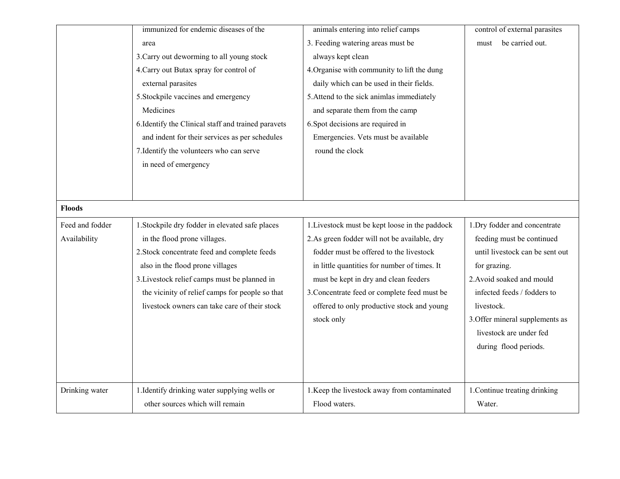|                 | immunized for endemic diseases of the               | animals entering into relief camps             | control of external parasites   |
|-----------------|-----------------------------------------------------|------------------------------------------------|---------------------------------|
|                 | area                                                | 3. Feeding watering areas must be              | be carried out.<br>must         |
|                 | 3. Carry out deworming to all young stock           | always kept clean                              |                                 |
|                 | 4. Carry out Butax spray for control of             | 4. Organise with community to lift the dung    |                                 |
|                 | external parasites                                  | daily which can be used in their fields.       |                                 |
|                 | 5. Stockpile vaccines and emergency                 | 5. Attend to the sick animlas immediately      |                                 |
|                 | Medicines                                           | and separate them from the camp                |                                 |
|                 | 6. Identify the Clinical staff and trained paravets | 6. Spot decisions are required in              |                                 |
|                 | and indent for their services as per schedules      | Emergencies. Vets must be available            |                                 |
|                 | 7. Identify the volunteers who can serve            | round the clock                                |                                 |
|                 | in need of emergency                                |                                                |                                 |
|                 |                                                     |                                                |                                 |
|                 |                                                     |                                                |                                 |
| <b>Floods</b>   |                                                     |                                                |                                 |
| Feed and fodder | 1. Stockpile dry fodder in elevated safe places     | 1. Livestock must be kept loose in the paddock | 1. Dry fodder and concentrate   |
| Availability    | in the flood prone villages.                        | 2.As green fodder will not be available, dry   | feeding must be continued       |
|                 | 2. Stock concentrate feed and complete feeds        | fodder must be offered to the livestock        | until livestock can be sent out |
|                 | also in the flood prone villages                    | in little quantities for number of times. It   | for grazing.                    |
|                 | 3. Livestock relief camps must be planned in        | must be kept in dry and clean feeders          | 2. Avoid soaked and mould       |
|                 | the vicinity of relief camps for people so that     | 3. Concentrate feed or complete feed must be   | infected feeds / fodders to     |
|                 | livestock owners can take care of their stock       | offered to only productive stock and young     | livestock.                      |
|                 |                                                     | stock only                                     | 3. Offer mineral supplements as |
|                 |                                                     |                                                | livestock are under fed         |
|                 |                                                     |                                                | during flood periods.           |
|                 |                                                     |                                                |                                 |
|                 |                                                     |                                                |                                 |
| Drinking water  | 1. Identify drinking water supplying wells or       | 1. Keep the livestock away from contaminated   |                                 |
|                 |                                                     |                                                | 1. Continue treating drinking   |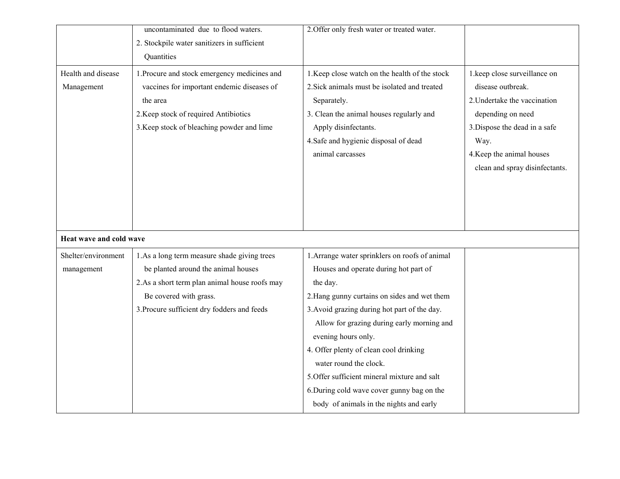|                                  | uncontaminated due to flood waters.                                                                                                                                                           | 2. Offer only fresh water or treated water.                                                                                                                                                                                                    |                                                                                                                                                                                                                |
|----------------------------------|-----------------------------------------------------------------------------------------------------------------------------------------------------------------------------------------------|------------------------------------------------------------------------------------------------------------------------------------------------------------------------------------------------------------------------------------------------|----------------------------------------------------------------------------------------------------------------------------------------------------------------------------------------------------------------|
|                                  | 2. Stockpile water sanitizers in sufficient                                                                                                                                                   |                                                                                                                                                                                                                                                |                                                                                                                                                                                                                |
|                                  | Quantities                                                                                                                                                                                    |                                                                                                                                                                                                                                                |                                                                                                                                                                                                                |
| Health and disease<br>Management | 1. Procure and stock emergency medicines and<br>vaccines for important endemic diseases of<br>the area<br>2. Keep stock of required Antibiotics<br>3. Keep stock of bleaching powder and lime | 1. Keep close watch on the health of the stock<br>2. Sick animals must be isolated and treated<br>Separately.<br>3. Clean the animal houses regularly and<br>Apply disinfectants.<br>4. Safe and hygienic disposal of dead<br>animal carcasses | 1.keep close surveillance on<br>disease outbreak.<br>2. Undertake the vaccination<br>depending on need<br>3. Dispose the dead in a safe<br>Way.<br>4. Keep the animal houses<br>clean and spray disinfectants. |
| Heat wave and cold wave          |                                                                                                                                                                                               |                                                                                                                                                                                                                                                |                                                                                                                                                                                                                |
| Shelter/environment              | 1.As a long term measure shade giving trees                                                                                                                                                   | 1. Arrange water sprinklers on roofs of animal                                                                                                                                                                                                 |                                                                                                                                                                                                                |
| management                       | be planted around the animal houses                                                                                                                                                           | Houses and operate during hot part of                                                                                                                                                                                                          |                                                                                                                                                                                                                |
|                                  | 2.As a short term plan animal house roofs may                                                                                                                                                 | the day.                                                                                                                                                                                                                                       |                                                                                                                                                                                                                |
|                                  | Be covered with grass.                                                                                                                                                                        | 2. Hang gunny curtains on sides and wet them                                                                                                                                                                                                   |                                                                                                                                                                                                                |
|                                  | 3. Procure sufficient dry fodders and feeds                                                                                                                                                   | 3. Avoid grazing during hot part of the day.                                                                                                                                                                                                   |                                                                                                                                                                                                                |
|                                  |                                                                                                                                                                                               | Allow for grazing during early morning and                                                                                                                                                                                                     |                                                                                                                                                                                                                |
|                                  |                                                                                                                                                                                               | evening hours only.                                                                                                                                                                                                                            |                                                                                                                                                                                                                |
|                                  |                                                                                                                                                                                               | 4. Offer plenty of clean cool drinking                                                                                                                                                                                                         |                                                                                                                                                                                                                |
|                                  |                                                                                                                                                                                               | water round the clock.                                                                                                                                                                                                                         |                                                                                                                                                                                                                |
|                                  |                                                                                                                                                                                               | 5. Offer sufficient mineral mixture and salt                                                                                                                                                                                                   |                                                                                                                                                                                                                |
|                                  |                                                                                                                                                                                               | 6. During cold wave cover gunny bag on the                                                                                                                                                                                                     |                                                                                                                                                                                                                |
|                                  |                                                                                                                                                                                               | body of animals in the nights and early                                                                                                                                                                                                        |                                                                                                                                                                                                                |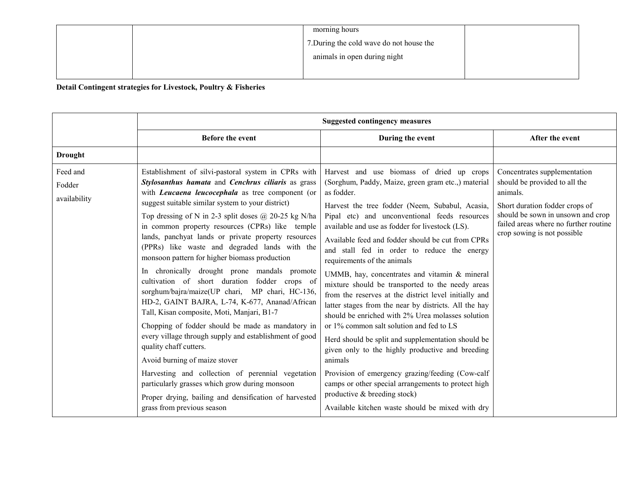|  | morning hours                            |  |
|--|------------------------------------------|--|
|  | 7. During the cold wave do not house the |  |
|  | animals in open during night             |  |
|  |                                          |  |

Detail Contingent strategies for Livestock, Poultry & Fisheries

|                                    |                                                                                                                                                                                                                                                                                                                                                                                                                                                                                                                                                                                                                                                                                                                                                                                                                                                                                                                                                                                                                                                                                                                             | <b>Suggested contingency measures</b>                                                                                                                                                                                                                                                                                                                                                                                                                                                                                                                                                                                                                                                                                                                                                                                                                                                                                                                                                                                                               |                                                                                                                                                                                                                          |
|------------------------------------|-----------------------------------------------------------------------------------------------------------------------------------------------------------------------------------------------------------------------------------------------------------------------------------------------------------------------------------------------------------------------------------------------------------------------------------------------------------------------------------------------------------------------------------------------------------------------------------------------------------------------------------------------------------------------------------------------------------------------------------------------------------------------------------------------------------------------------------------------------------------------------------------------------------------------------------------------------------------------------------------------------------------------------------------------------------------------------------------------------------------------------|-----------------------------------------------------------------------------------------------------------------------------------------------------------------------------------------------------------------------------------------------------------------------------------------------------------------------------------------------------------------------------------------------------------------------------------------------------------------------------------------------------------------------------------------------------------------------------------------------------------------------------------------------------------------------------------------------------------------------------------------------------------------------------------------------------------------------------------------------------------------------------------------------------------------------------------------------------------------------------------------------------------------------------------------------------|--------------------------------------------------------------------------------------------------------------------------------------------------------------------------------------------------------------------------|
|                                    | <b>Before the event</b>                                                                                                                                                                                                                                                                                                                                                                                                                                                                                                                                                                                                                                                                                                                                                                                                                                                                                                                                                                                                                                                                                                     | During the event                                                                                                                                                                                                                                                                                                                                                                                                                                                                                                                                                                                                                                                                                                                                                                                                                                                                                                                                                                                                                                    | After the event                                                                                                                                                                                                          |
| <b>Drought</b>                     |                                                                                                                                                                                                                                                                                                                                                                                                                                                                                                                                                                                                                                                                                                                                                                                                                                                                                                                                                                                                                                                                                                                             |                                                                                                                                                                                                                                                                                                                                                                                                                                                                                                                                                                                                                                                                                                                                                                                                                                                                                                                                                                                                                                                     |                                                                                                                                                                                                                          |
| Feed and<br>Fodder<br>availability | Establishment of silvi-pastoral system in CPRs with<br>Stylosanthus hamata and Cenchrus ciliaris as grass<br>with <i>Leucaena leucocephala</i> as tree component (or<br>suggest suitable similar system to your district)<br>Top dressing of N in 2-3 split doses $@$ 20-25 kg N/ha<br>in common property resources (CPRs) like temple<br>lands, panchyat lands or private property resources<br>(PPRs) like waste and degraded lands with the<br>monsoon pattern for higher biomass production<br>In chronically drought prone mandals promote<br>cultivation of short duration fodder crops of<br>sorghum/bajra/maize(UP chari, MP chari, HC-136,<br>HD-2, GAINT BAJRA, L-74, K-677, Ananad/African<br>Tall, Kisan composite, Moti, Manjari, B1-7<br>Chopping of fodder should be made as mandatory in<br>every village through supply and establishment of good<br>quality chaff cutters.<br>Avoid burning of maize stover<br>Harvesting and collection of perennial vegetation<br>particularly grasses which grow during monsoon<br>Proper drying, bailing and densification of harvested<br>grass from previous season | Harvest and use biomass of dried up crops<br>(Sorghum, Paddy, Maize, green gram etc.,) material<br>as fodder.<br>Harvest the tree fodder (Neem, Subabul, Acasia,<br>Pipal etc) and unconventional feeds resources<br>available and use as fodder for livestock (LS).<br>Available feed and fodder should be cut from CPRs<br>and stall fed in order to reduce the energy<br>requirements of the animals<br>UMMB, hay, concentrates and vitamin & mineral<br>mixture should be transported to the needy areas<br>from the reserves at the district level initially and<br>latter stages from the near by districts. All the hay<br>should be enriched with 2% Urea molasses solution<br>or 1% common salt solution and fed to LS<br>Herd should be split and supplementation should be<br>given only to the highly productive and breeding<br>animals<br>Provision of emergency grazing/feeding (Cow-calf<br>camps or other special arrangements to protect high<br>productive & breeding stock)<br>Available kitchen waste should be mixed with dry | Concentrates supplementation<br>should be provided to all the<br>animals.<br>Short duration fodder crops of<br>should be sown in unsown and crop<br>failed areas where no further routine<br>crop sowing is not possible |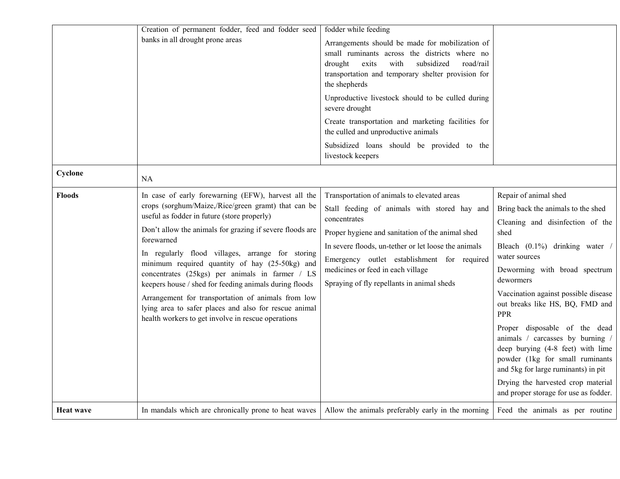|                  | Creation of permanent fodder, feed and fodder seed<br>banks in all drought prone areas                                                                                                                                                                                                                                                                                                                                                                                                                                                                                                                                      | fodder while feeding<br>Arrangements should be made for mobilization of<br>small ruminants across the districts where no<br>drought<br>exits<br>subsidized<br>road/rail<br>with<br>transportation and temporary shelter provision for<br>the shepherds<br>Unproductive livestock should to be culled during<br>severe drought<br>Create transportation and marketing facilities for<br>the culled and unproductive animals |                                                                                                                                                                                                                                                                                                                                                                                                                                                                                                                                                                      |
|------------------|-----------------------------------------------------------------------------------------------------------------------------------------------------------------------------------------------------------------------------------------------------------------------------------------------------------------------------------------------------------------------------------------------------------------------------------------------------------------------------------------------------------------------------------------------------------------------------------------------------------------------------|----------------------------------------------------------------------------------------------------------------------------------------------------------------------------------------------------------------------------------------------------------------------------------------------------------------------------------------------------------------------------------------------------------------------------|----------------------------------------------------------------------------------------------------------------------------------------------------------------------------------------------------------------------------------------------------------------------------------------------------------------------------------------------------------------------------------------------------------------------------------------------------------------------------------------------------------------------------------------------------------------------|
|                  |                                                                                                                                                                                                                                                                                                                                                                                                                                                                                                                                                                                                                             | Subsidized loans should be provided to the<br>livestock keepers                                                                                                                                                                                                                                                                                                                                                            |                                                                                                                                                                                                                                                                                                                                                                                                                                                                                                                                                                      |
| Cyclone          | NA                                                                                                                                                                                                                                                                                                                                                                                                                                                                                                                                                                                                                          |                                                                                                                                                                                                                                                                                                                                                                                                                            |                                                                                                                                                                                                                                                                                                                                                                                                                                                                                                                                                                      |
| <b>Floods</b>    | In case of early forewarning (EFW), harvest all the<br>crops (sorghum/Maize,/Rice/green gramt) that can be<br>useful as fodder in future (store properly)<br>Don't allow the animals for grazing if severe floods are<br>forewarned<br>In regularly flood villages, arrange for storing<br>minimum required quantity of hay (25-50kg) and<br>concentrates (25kgs) per animals in farmer / LS<br>keepers house / shed for feeding animals during floods<br>Arrangement for transportation of animals from low<br>lying area to safer places and also for rescue animal<br>health workers to get involve in rescue operations | Transportation of animals to elevated areas<br>Stall feeding of animals with stored hay and<br>concentrates<br>Proper hygiene and sanitation of the animal shed<br>In severe floods, un-tether or let loose the animals<br>Emergency outlet establishment for required<br>medicines or feed in each village<br>Spraying of fly repellants in animal sheds                                                                  | Repair of animal shed<br>Bring back the animals to the shed<br>Cleaning and disinfection of the<br>shed<br>Bleach (0.1%) drinking water /<br>water sources<br>Deworming with broad spectrum<br>dewormers<br>Vaccination against possible disease<br>out breaks like HS, BQ, FMD and<br><b>PPR</b><br>Proper disposable of the dead<br>animals / carcasses by burning /<br>deep burying (4-8 feet) with lime<br>powder (1kg for small ruminants<br>and 5kg for large ruminants) in pit<br>Drying the harvested crop material<br>and proper storage for use as fodder. |
| <b>Heat wave</b> | In mandals which are chronically prone to heat waves                                                                                                                                                                                                                                                                                                                                                                                                                                                                                                                                                                        | Allow the animals preferably early in the morning                                                                                                                                                                                                                                                                                                                                                                          | Feed the animals as per routine                                                                                                                                                                                                                                                                                                                                                                                                                                                                                                                                      |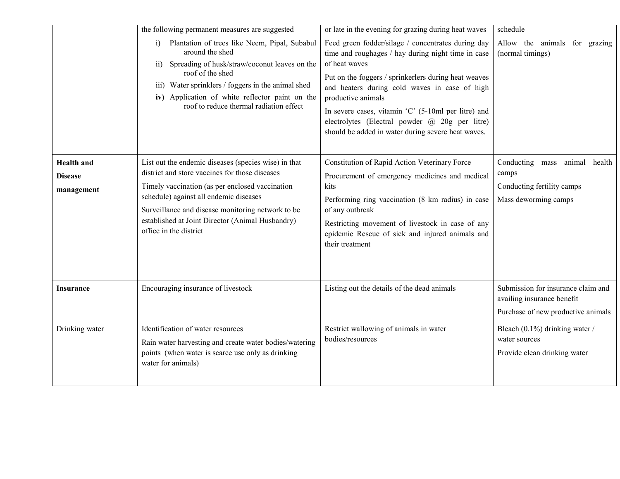|                                                   | the following permanent measures are suggested<br>Plantation of trees like Neem, Pipal, Subabul<br>i)<br>around the shed<br>Spreading of husk/straw/coconut leaves on the<br>$\overline{ii}$ )<br>roof of the shed<br>iii) Water sprinklers / foggers in the animal shed<br>iv) Application of white reflector paint on the<br>roof to reduce thermal radiation effect | or late in the evening for grazing during heat waves<br>Feed green fodder/silage / concentrates during day<br>time and roughages / hay during night time in case<br>of heat waves<br>Put on the foggers / sprinkerlers during heat weaves<br>and heaters during cold waves in case of high<br>productive animals<br>In severe cases, vitamin 'C' (5-10ml per litre) and                                           | schedule<br>Allow the animals for grazing<br>(normal timings)                                          |
|---------------------------------------------------|------------------------------------------------------------------------------------------------------------------------------------------------------------------------------------------------------------------------------------------------------------------------------------------------------------------------------------------------------------------------|-------------------------------------------------------------------------------------------------------------------------------------------------------------------------------------------------------------------------------------------------------------------------------------------------------------------------------------------------------------------------------------------------------------------|--------------------------------------------------------------------------------------------------------|
| <b>Health</b> and<br><b>Disease</b><br>management | List out the endemic diseases (species wise) in that<br>district and store vaccines for those diseases<br>Timely vaccination (as per enclosed vaccination<br>schedule) against all endemic diseases<br>Surveillance and disease monitoring network to be<br>established at Joint Director (Animal Husbandry)<br>office in the district                                 | electrolytes (Electral powder @ 20g per litre)<br>should be added in water during severe heat waves.<br>Constitution of Rapid Action Veterinary Force<br>Procurement of emergency medicines and medical<br>kits<br>Performing ring vaccination (8 km radius) in case<br>of any outbreak<br>Restricting movement of livestock in case of any<br>epidemic Rescue of sick and injured animals and<br>their treatment | Conducting mass animal health<br>camps<br>Conducting fertility camps<br>Mass deworming camps           |
| Insurance                                         | Encouraging insurance of livestock                                                                                                                                                                                                                                                                                                                                     | Listing out the details of the dead animals                                                                                                                                                                                                                                                                                                                                                                       | Submission for insurance claim and<br>availing insurance benefit<br>Purchase of new productive animals |
| Drinking water                                    | Identification of water resources<br>Rain water harvesting and create water bodies/watering<br>points (when water is scarce use only as drinking<br>water for animals)                                                                                                                                                                                                 | Restrict wallowing of animals in water<br>bodies/resources                                                                                                                                                                                                                                                                                                                                                        | Bleach (0.1%) drinking water /<br>water sources<br>Provide clean drinking water                        |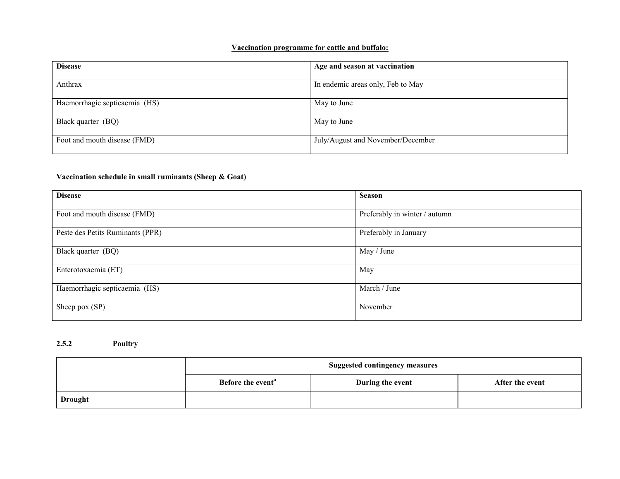#### Vaccination programme for cattle and buffalo:

| <b>Disease</b>                | Age and season at vaccination     |
|-------------------------------|-----------------------------------|
| Anthrax                       | In endemic areas only, Feb to May |
| Haemorrhagic septicaemia (HS) | May to June                       |
| Black quarter (BQ)            | May to June                       |
| Foot and mouth disease (FMD)  | July/August and November/December |

#### Vaccination schedule in small ruminants (Sheep & Goat)

| <b>Disease</b>                   | <b>Season</b>                 |
|----------------------------------|-------------------------------|
| Foot and mouth disease (FMD)     | Preferably in winter / autumn |
| Peste des Petits Ruminants (PPR) | Preferably in January         |
| Black quarter (BQ)               | May / June                    |
| Enterotoxaemia (ET)              | May                           |
| Haemorrhagic septicaemia (HS)    | March / June                  |
| Sheep pox (SP)                   | November                      |

#### 2.5.2 Poultry

|                | <b>Suggested contingency measures</b> |                  |                 |
|----------------|---------------------------------------|------------------|-----------------|
|                | Before the event <sup>a</sup>         | During the event | After the event |
| <b>Drought</b> |                                       |                  |                 |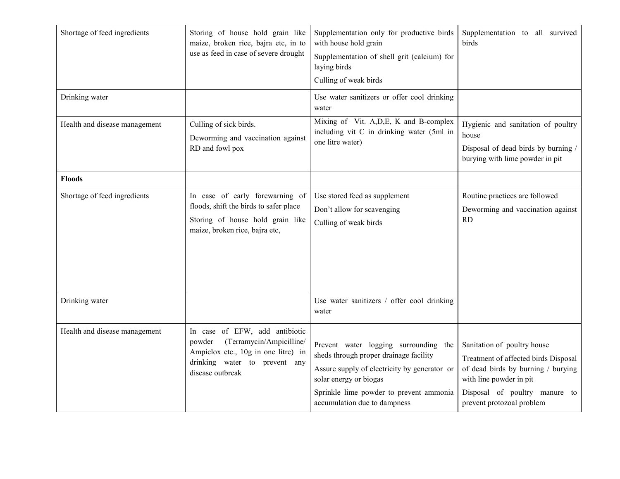| Shortage of feed ingredients  | Storing of house hold grain like<br>maize, broken rice, bajra etc, in to<br>use as feed in case of severe drought                                                | Supplementation only for productive birds<br>with house hold grain<br>Supplementation of shell grit (calcium) for<br>laying birds<br>Culling of weak birds                                                                           | Supplementation to all survived<br>birds                                                                                                                                                           |
|-------------------------------|------------------------------------------------------------------------------------------------------------------------------------------------------------------|--------------------------------------------------------------------------------------------------------------------------------------------------------------------------------------------------------------------------------------|----------------------------------------------------------------------------------------------------------------------------------------------------------------------------------------------------|
| Drinking water                |                                                                                                                                                                  | Use water sanitizers or offer cool drinking<br>water                                                                                                                                                                                 |                                                                                                                                                                                                    |
| Health and disease management | Culling of sick birds.<br>Deworming and vaccination against<br>RD and fowl pox                                                                                   | Mixing of Vit. A, D, E, K and B-complex<br>including vit C in drinking water (5ml in<br>one litre water)                                                                                                                             | Hygienic and sanitation of poultry<br>house<br>Disposal of dead birds by burning /<br>burying with lime powder in pit                                                                              |
| <b>Floods</b>                 |                                                                                                                                                                  |                                                                                                                                                                                                                                      |                                                                                                                                                                                                    |
| Shortage of feed ingredients  | In case of early forewarning of<br>floods, shift the birds to safer place<br>Storing of house hold grain like<br>maize, broken rice, bajra etc,                  | Use stored feed as supplement<br>Don't allow for scavenging<br>Culling of weak birds                                                                                                                                                 | Routine practices are followed<br>Deworming and vaccination against<br>RD                                                                                                                          |
| Drinking water                |                                                                                                                                                                  | Use water sanitizers / offer cool drinking<br>water                                                                                                                                                                                  |                                                                                                                                                                                                    |
| Health and disease management | In case of EFW, add antibiotic<br>(Terramycin/Ampicilline/<br>powder<br>Ampiclox etc., 10g in one litre) in<br>drinking water to prevent any<br>disease outbreak | Prevent water logging surrounding the<br>sheds through proper drainage facility<br>Assure supply of electricity by generator or<br>solar energy or biogas<br>Sprinkle lime powder to prevent ammonia<br>accumulation due to dampness | Sanitation of poultry house<br>Treatment of affected birds Disposal<br>of dead birds by burning / burying<br>with line powder in pit<br>Disposal of poultry manure to<br>prevent protozoal problem |